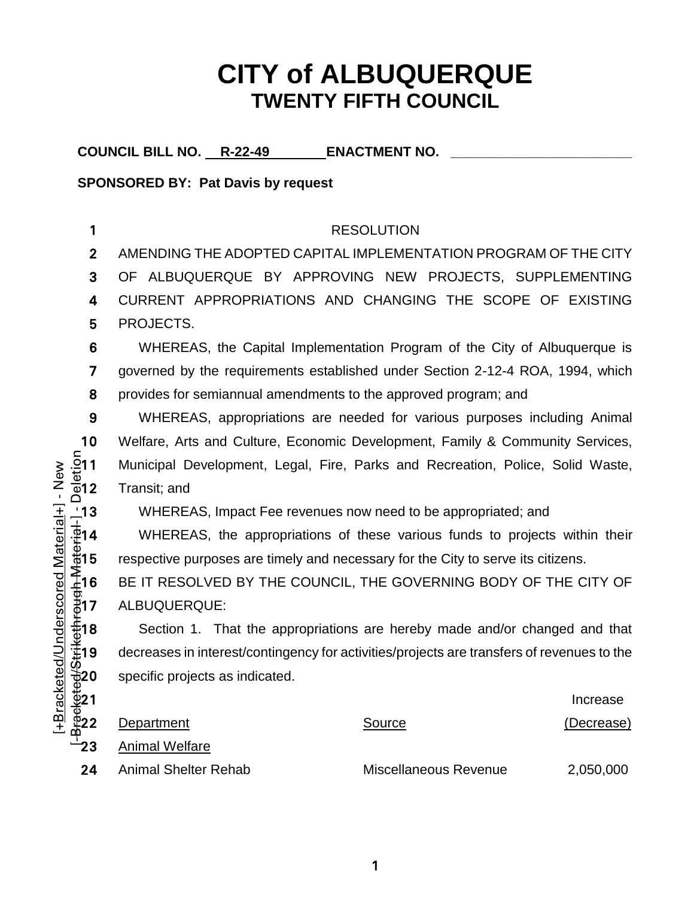### **CITY of ALBUQUERQUE TWENTY FIFTH COUNCIL**

COUNCIL BILL NO. R-22-49 **ENACTMENT NO.** 

**SPONSORED BY: Pat Davis by request**

### 1 RESOLUTION

2 AMENDING THE ADOPTED CAPITAL IMPLEMENTATION PROGRAM OF THE CITY

3 OF ALBUQUERQUE BY APPROVING NEW PROJECTS, SUPPLEMENTING

4 CURRENT APPROPRIATIONS AND CHANGING THE SCOPE OF EXISTING 5 PROJECTS.

6 WHEREAS, the Capital Implementation Program of the City of Albuquerque is 7 governed by the requirements established under Section 2-12-4 ROA, 1994, which 8 provides for semiannual amendments to the approved program; and

9 WHEREAS, appropriations are needed for various purposes including Animal 10 Welfare, Arts and Culture, Economic Development, Family & Community Services,<br>511 Municipal Development, Legal, Fire, Parks and Recreation, Police, Solid Waste,<br>**512** Transit; and Municipal Development, Legal, Fire, Parks and Recreation, Police, Solid Waste, Transit; and

⊥13 WHEREAS, Impact Fee revenues now need to be appropriated; and<br>↓<br>.⊉14 WHEREAS, the appropriations of these various funds to projects 14 WHEREAS, the appropriations of these various funds to projects within their  $\frac{5}{15}$ 15 respective purposes are timely and necessary for the City to serve its citizens.

16 BE IT RESOLVED BY THE COUNCIL, THE GOVERNING BODY OF THE CITY OF  $\frac{1}{6}$ 17 ALBUQUERQUE:

 $+18$  Section 1. That the appropriations are hereby made and/or changed and that specific projects as indicated.

| decreases in interest/contingency for activities/projects are transfers of revenues to the |                       |            |  |  |  |  |
|--------------------------------------------------------------------------------------------|-----------------------|------------|--|--|--|--|
| specific projects as indicated.                                                            |                       |            |  |  |  |  |
|                                                                                            |                       | Increase   |  |  |  |  |
| Department                                                                                 | Source                | (Decrease) |  |  |  |  |
| <b>Animal Welfare</b>                                                                      |                       |            |  |  |  |  |
| <b>Animal Shelter Rehab</b>                                                                | Miscellaneous Revenue | 2,050,000  |  |  |  |  |
|                                                                                            |                       |            |  |  |  |  |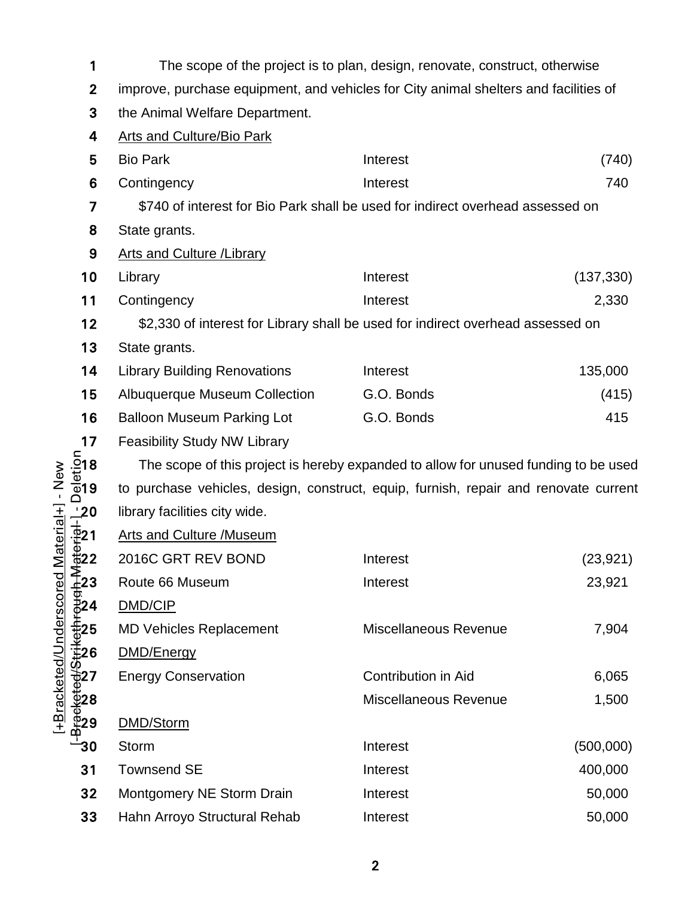| 1                                    | The scope of the project is to plan, design, renovate, construct, otherwise                              |                                                                                 |           |  |  |  |  |  |  |  |
|--------------------------------------|----------------------------------------------------------------------------------------------------------|---------------------------------------------------------------------------------|-----------|--|--|--|--|--|--|--|
|                                      | $\boldsymbol{2}$<br>improve, purchase equipment, and vehicles for City animal shelters and facilities of |                                                                                 |           |  |  |  |  |  |  |  |
| 3                                    | the Animal Welfare Department.                                                                           |                                                                                 |           |  |  |  |  |  |  |  |
| 4                                    | <b>Arts and Culture/Bio Park</b>                                                                         |                                                                                 |           |  |  |  |  |  |  |  |
| 5                                    | <b>Bio Park</b>                                                                                          | (740)                                                                           |           |  |  |  |  |  |  |  |
| 6                                    | Contingency                                                                                              | Interest                                                                        | 740       |  |  |  |  |  |  |  |
| 7                                    |                                                                                                          | \$740 of interest for Bio Park shall be used for indirect overhead assessed on  |           |  |  |  |  |  |  |  |
| 8                                    | State grants.                                                                                            |                                                                                 |           |  |  |  |  |  |  |  |
| 9                                    | <b>Arts and Culture / Library</b>                                                                        |                                                                                 |           |  |  |  |  |  |  |  |
| 10                                   | Library                                                                                                  | (137, 330)                                                                      |           |  |  |  |  |  |  |  |
| 11                                   | Contingency                                                                                              | Interest                                                                        | 2,330     |  |  |  |  |  |  |  |
| 12                                   |                                                                                                          | \$2,330 of interest for Library shall be used for indirect overhead assessed on |           |  |  |  |  |  |  |  |
| 13                                   | State grants.                                                                                            |                                                                                 |           |  |  |  |  |  |  |  |
| 14                                   | <b>Library Building Renovations</b>                                                                      | Interest                                                                        | 135,000   |  |  |  |  |  |  |  |
| 15                                   | <b>Albuquerque Museum Collection</b>                                                                     | (415)                                                                           |           |  |  |  |  |  |  |  |
| 16                                   | <b>Balloon Museum Parking Lot</b>                                                                        | 415                                                                             |           |  |  |  |  |  |  |  |
| 17                                   | <b>Feasibility Study NW Library</b>                                                                      |                                                                                 |           |  |  |  |  |  |  |  |
| $\frac{5}{9}$ 18<br>$\frac{1}{9}$ 19 | The scope of this project is hereby expanded to allow for unused funding to be used                      |                                                                                 |           |  |  |  |  |  |  |  |
| $-$ New                              | to purchase vehicles, design, construct, equip, furnish, repair and renovate current                     |                                                                                 |           |  |  |  |  |  |  |  |
| $\frac{1}{4}$ 20                     | library facilities city wide.                                                                            |                                                                                 |           |  |  |  |  |  |  |  |
| (Haterial+<br>$\frac{1}{2}21$        | <b>Arts and Culture /Museum</b>                                                                          |                                                                                 |           |  |  |  |  |  |  |  |
| $rac{1}{12}$ 22                      | 2016C GRT REV BOND                                                                                       | Interest                                                                        | (23, 921) |  |  |  |  |  |  |  |
| <u>≨ิ้</u> 23                        | Route 66 Museum                                                                                          | Interest                                                                        | 23,921    |  |  |  |  |  |  |  |
| ਰ<br>ਰੋ24                            | DMD/CIP                                                                                                  |                                                                                 |           |  |  |  |  |  |  |  |
| +Bracketed/Underscored<br>节25        | <b>MD Vehicles Replacement</b>                                                                           | Miscellaneous Revenue                                                           | 7,904     |  |  |  |  |  |  |  |
| 1⊉26                                 | DMD/Energy                                                                                               |                                                                                 |           |  |  |  |  |  |  |  |
|                                      | <b>Energy Conservation</b>                                                                               | <b>Contribution in Aid</b>                                                      | 6,065     |  |  |  |  |  |  |  |
| <del>∜9</del> 27<br>⊕928<br>∰29      |                                                                                                          | Miscellaneous Revenue                                                           | 1,500     |  |  |  |  |  |  |  |
|                                      | DMD/Storm                                                                                                |                                                                                 |           |  |  |  |  |  |  |  |
| ່ 30                                 | Storm                                                                                                    | Interest                                                                        | (500,000) |  |  |  |  |  |  |  |
| 31                                   | <b>Townsend SE</b>                                                                                       | Interest                                                                        | 400,000   |  |  |  |  |  |  |  |
| 32                                   | <b>Montgomery NE Storm Drain</b>                                                                         | Interest                                                                        | 50,000    |  |  |  |  |  |  |  |
| 33                                   | Hahn Arroyo Structural Rehab                                                                             | Interest                                                                        | 50,000    |  |  |  |  |  |  |  |

[+Bracketed/Underscored Material+] - New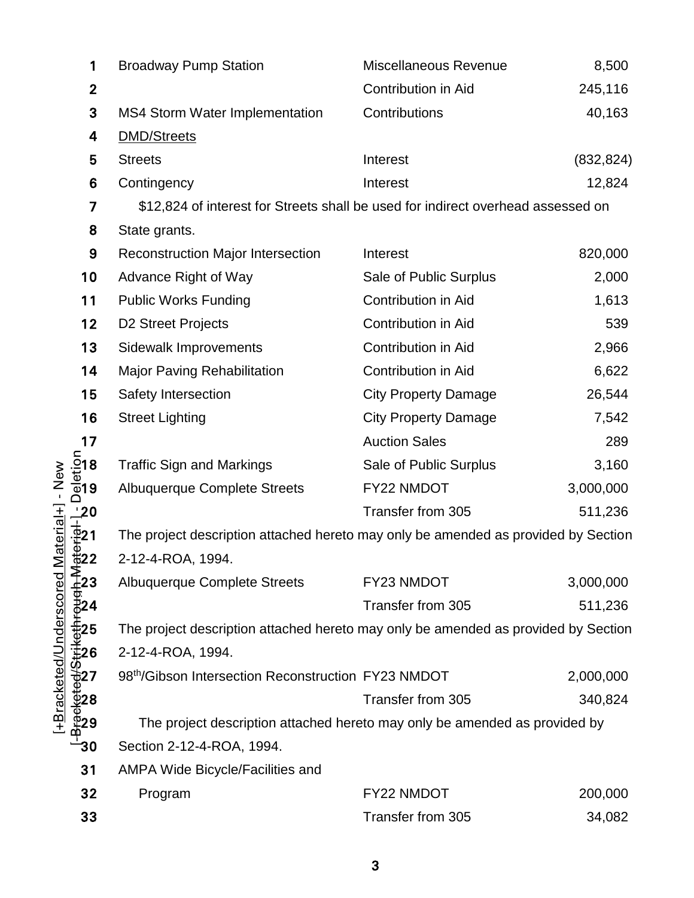| 1                                                                                                                                                                                                                                      | <b>Broadway Pump Station</b>                                                       | Miscellaneous Revenue       | 8,500      |
|----------------------------------------------------------------------------------------------------------------------------------------------------------------------------------------------------------------------------------------|------------------------------------------------------------------------------------|-----------------------------|------------|
| $\mathbf{2}$                                                                                                                                                                                                                           |                                                                                    | <b>Contribution in Aid</b>  | 245,116    |
| 3                                                                                                                                                                                                                                      | <b>MS4 Storm Water Implementation</b>                                              | Contributions               | 40,163     |
| 4                                                                                                                                                                                                                                      | <b>DMD/Streets</b>                                                                 |                             |            |
| 5                                                                                                                                                                                                                                      | <b>Streets</b>                                                                     | Interest                    | (832, 824) |
| 6                                                                                                                                                                                                                                      | Contingency                                                                        | Interest                    | 12,824     |
| 7                                                                                                                                                                                                                                      | \$12,824 of interest for Streets shall be used for indirect overhead assessed on   |                             |            |
| 8                                                                                                                                                                                                                                      | State grants.                                                                      |                             |            |
| 9                                                                                                                                                                                                                                      | <b>Reconstruction Major Intersection</b>                                           | Interest                    | 820,000    |
| 10                                                                                                                                                                                                                                     | Advance Right of Way                                                               | Sale of Public Surplus      | 2,000      |
| 11                                                                                                                                                                                                                                     | <b>Public Works Funding</b>                                                        | Contribution in Aid         | 1,613      |
| 12                                                                                                                                                                                                                                     | <b>D2 Street Projects</b>                                                          | Contribution in Aid         | 539        |
| 13                                                                                                                                                                                                                                     | <b>Sidewalk Improvements</b>                                                       | Contribution in Aid         | 2,966      |
| 14                                                                                                                                                                                                                                     | <b>Major Paving Rehabilitation</b>                                                 | Contribution in Aid         | 6,622      |
| 15                                                                                                                                                                                                                                     | Safety Intersection                                                                | <b>City Property Damage</b> | 26,544     |
| 16                                                                                                                                                                                                                                     | <b>Street Lighting</b>                                                             | <b>City Property Damage</b> | 7,542      |
| 17                                                                                                                                                                                                                                     |                                                                                    | <b>Auction Sales</b>        | 289        |
| <u>ຸ້ລົ</u> 18<br>ພິອາ<br>ດິ <sup>9</sup>                                                                                                                                                                                              | <b>Traffic Sign and Markings</b>                                                   | Sale of Public Surplus      | 3,160      |
|                                                                                                                                                                                                                                        | <b>Albuquerque Complete Streets</b>                                                | FY22 NMDOT                  | 3,000,000  |
|                                                                                                                                                                                                                                        |                                                                                    | Transfer from 305           | 511,236    |
| $\frac{-20}{\frac{1}{2}}$<br>$\frac{1}{2}$<br>$\frac{1}{2}$<br>$\frac{1}{2}$<br>$\frac{2}{2}$                                                                                                                                          | The project description attached hereto may only be amended as provided by Section |                             |            |
|                                                                                                                                                                                                                                        | 2-12-4-ROA, 1994.                                                                  |                             |            |
|                                                                                                                                                                                                                                        | Albuquerque Complete Streets                                                       | FY23 NMDOT                  | 3,000,000  |
|                                                                                                                                                                                                                                        |                                                                                    | Transfer from 305           | 511,236    |
| $+\frac{1}{2}$<br>$+\frac{1}{2}$<br>$+\frac{1}{2}$<br>$+\frac{1}{2}$<br>$+\frac{1}{2}$<br>$-\frac{1}{2}$<br>$-\frac{1}{2}$<br>$-\frac{1}{2}$<br>$-\frac{1}{2}$<br>$-\frac{1}{2}$<br>$-\frac{1}{2}$<br>$-\frac{1}{2}$<br>$-\frac{1}{2}$ | The project description attached hereto may only be amended as provided by Section |                             |            |
|                                                                                                                                                                                                                                        | 2-12-4-ROA, 1994.                                                                  |                             |            |
|                                                                                                                                                                                                                                        | 98 <sup>th</sup> /Gibson Intersection Reconstruction FY23 NMDOT                    |                             | 2,000,000  |
|                                                                                                                                                                                                                                        |                                                                                    | Transfer from 305           | 340,824    |
|                                                                                                                                                                                                                                        | The project description attached hereto may only be amended as provided by         |                             |            |
| 30                                                                                                                                                                                                                                     | Section 2-12-4-ROA, 1994.                                                          |                             |            |
| 31                                                                                                                                                                                                                                     | AMPA Wide Bicycle/Facilities and                                                   |                             |            |
| 32                                                                                                                                                                                                                                     | Program                                                                            | FY22 NMDOT                  | 200,000    |
| 33                                                                                                                                                                                                                                     |                                                                                    | Transfer from 305           | 34,082     |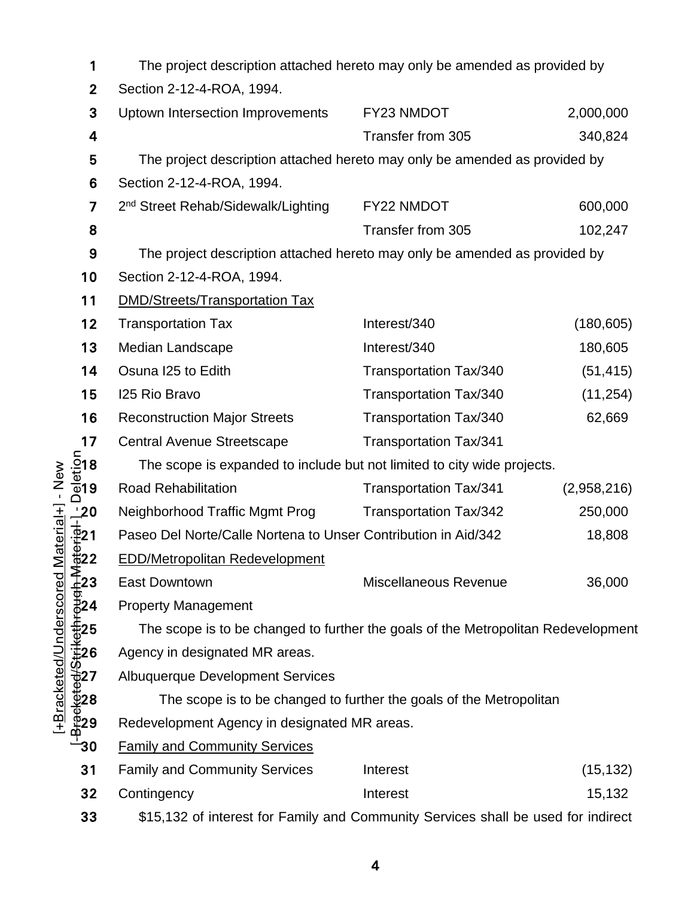| 1                                                                                                                                            | The project description attached hereto may only be amended as provided by        |                               |             |  |  |  |
|----------------------------------------------------------------------------------------------------------------------------------------------|-----------------------------------------------------------------------------------|-------------------------------|-------------|--|--|--|
| 2                                                                                                                                            | Section 2-12-4-ROA, 1994.                                                         |                               |             |  |  |  |
| 3                                                                                                                                            | Uptown Intersection Improvements                                                  | FY23 NMDOT                    | 2,000,000   |  |  |  |
| 4                                                                                                                                            |                                                                                   | Transfer from 305             | 340,824     |  |  |  |
| 5                                                                                                                                            | The project description attached hereto may only be amended as provided by        |                               |             |  |  |  |
| 6                                                                                                                                            | Section 2-12-4-ROA, 1994.                                                         |                               |             |  |  |  |
| 7                                                                                                                                            | 2 <sup>nd</sup> Street Rehab/Sidewalk/Lighting                                    | FY22 NMDOT                    | 600,000     |  |  |  |
| 8                                                                                                                                            |                                                                                   | Transfer from 305             | 102,247     |  |  |  |
| 9                                                                                                                                            | The project description attached hereto may only be amended as provided by        |                               |             |  |  |  |
| 10                                                                                                                                           | Section 2-12-4-ROA, 1994.                                                         |                               |             |  |  |  |
| 11                                                                                                                                           | <b>DMD/Streets/Transportation Tax</b>                                             |                               |             |  |  |  |
| 12                                                                                                                                           | <b>Transportation Tax</b>                                                         | Interest/340                  | (180, 605)  |  |  |  |
| 13                                                                                                                                           | Median Landscape                                                                  | Interest/340                  | 180,605     |  |  |  |
| 14                                                                                                                                           | Osuna I25 to Edith                                                                | <b>Transportation Tax/340</b> | (51, 415)   |  |  |  |
| 15                                                                                                                                           | 125 Rio Bravo                                                                     | <b>Transportation Tax/340</b> | (11, 254)   |  |  |  |
| 16                                                                                                                                           | <b>Reconstruction Major Streets</b>                                               | Transportation Tax/340        | 62,669      |  |  |  |
| 17                                                                                                                                           | <b>Central Avenue Streetscape</b>                                                 | <b>Transportation Tax/341</b> |             |  |  |  |
| <u>ົ້</u> ວາ 8<br>ພັງ<br>©19                                                                                                                 | The scope is expanded to include but not limited to city wide projects.           |                               |             |  |  |  |
|                                                                                                                                              | <b>Road Rehabilitation</b>                                                        | <b>Transportation Tax/341</b> | (2,958,216) |  |  |  |
|                                                                                                                                              | Neighborhood Traffic Mgmt Prog                                                    | Transportation Tax/342        | 250,000     |  |  |  |
|                                                                                                                                              | Paseo Del Norte/Calle Nortena to Unser Contribution in Aid/342                    |                               | 18,808      |  |  |  |
|                                                                                                                                              | <b>EDD/Metropolitan Redevelopment</b>                                             |                               |             |  |  |  |
|                                                                                                                                              | <b>East Downtown</b>                                                              | Miscellaneous Revenue         | 36,000      |  |  |  |
|                                                                                                                                              | <b>Property Management</b>                                                        |                               |             |  |  |  |
| $+\frac{1}{2}$<br>$+\frac{1}{2}$<br>$+\frac{1}{2}$<br>$+\frac{1}{2}$<br>$-\frac{1}{2}$<br>$-\frac{1}{2}$<br>$-\frac{1}{2}$<br>$-\frac{1}{2}$ | The scope is to be changed to further the goals of the Metropolitan Redevelopment |                               |             |  |  |  |
|                                                                                                                                              | Agency in designated MR areas.                                                    |                               |             |  |  |  |
|                                                                                                                                              | <b>Albuquerque Development Services</b>                                           |                               |             |  |  |  |
|                                                                                                                                              | The scope is to be changed to further the goals of the Metropolitan               |                               |             |  |  |  |
|                                                                                                                                              | Redevelopment Agency in designated MR areas.                                      |                               |             |  |  |  |
|                                                                                                                                              | <b>Family and Community Services</b>                                              |                               |             |  |  |  |
| 31                                                                                                                                           | <b>Family and Community Services</b>                                              | Interest                      | (15, 132)   |  |  |  |
| 32                                                                                                                                           | Contingency                                                                       | Interest                      | 15,132      |  |  |  |
| 33                                                                                                                                           | \$15,132 of interest for Family and Community Services shall be used for indirect |                               |             |  |  |  |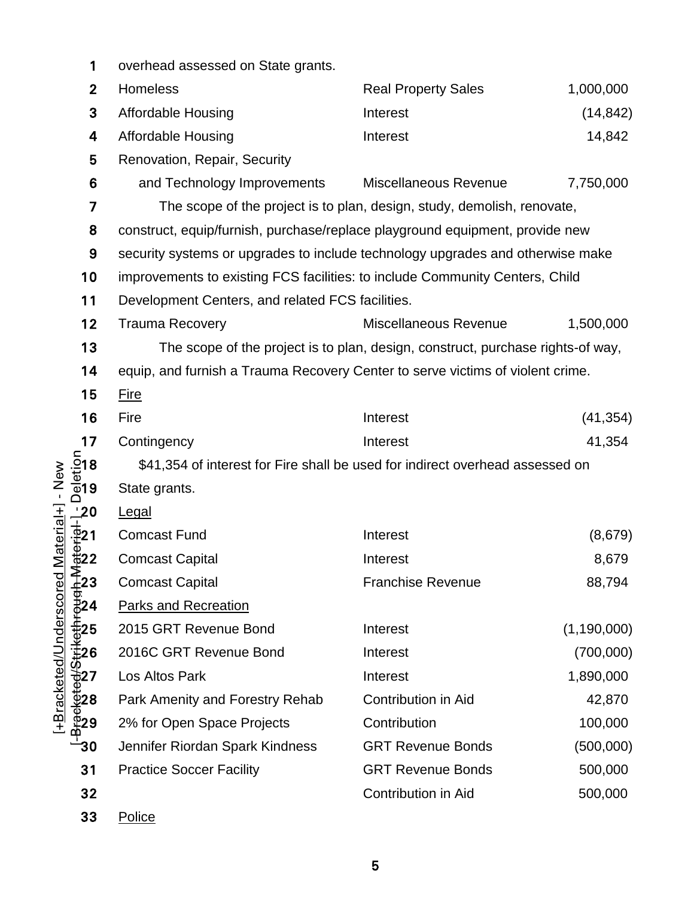| 1                                                                                                                          | overhead assessed on State grants.                                              |                                                                         |               |  |  |  |  |  |
|----------------------------------------------------------------------------------------------------------------------------|---------------------------------------------------------------------------------|-------------------------------------------------------------------------|---------------|--|--|--|--|--|
| $\mathbf{2}$                                                                                                               | <b>Homeless</b>                                                                 | <b>Real Property Sales</b>                                              | 1,000,000     |  |  |  |  |  |
| 3                                                                                                                          | <b>Affordable Housing</b>                                                       | Interest                                                                | (14, 842)     |  |  |  |  |  |
| 4                                                                                                                          | <b>Affordable Housing</b>                                                       | Interest                                                                | 14,842        |  |  |  |  |  |
| 5                                                                                                                          | Renovation, Repair, Security                                                    |                                                                         |               |  |  |  |  |  |
| 6                                                                                                                          | and Technology Improvements                                                     | Miscellaneous Revenue                                                   | 7,750,000     |  |  |  |  |  |
| 7                                                                                                                          |                                                                                 | The scope of the project is to plan, design, study, demolish, renovate, |               |  |  |  |  |  |
| 8                                                                                                                          | construct, equip/furnish, purchase/replace playground equipment, provide new    |                                                                         |               |  |  |  |  |  |
| 9                                                                                                                          | security systems or upgrades to include technology upgrades and otherwise make  |                                                                         |               |  |  |  |  |  |
| 10                                                                                                                         | improvements to existing FCS facilities: to include Community Centers, Child    |                                                                         |               |  |  |  |  |  |
| 11                                                                                                                         | Development Centers, and related FCS facilities.                                |                                                                         |               |  |  |  |  |  |
| 12                                                                                                                         | <b>Trauma Recovery</b>                                                          | Miscellaneous Revenue                                                   | 1,500,000     |  |  |  |  |  |
| 13                                                                                                                         | The scope of the project is to plan, design, construct, purchase rights-of way, |                                                                         |               |  |  |  |  |  |
| 14                                                                                                                         | equip, and furnish a Trauma Recovery Center to serve victims of violent crime.  |                                                                         |               |  |  |  |  |  |
| 15                                                                                                                         | <b>Fire</b>                                                                     |                                                                         |               |  |  |  |  |  |
| 16                                                                                                                         | Fire                                                                            | Interest                                                                | (41, 354)     |  |  |  |  |  |
| 17                                                                                                                         | Contingency                                                                     | Interest                                                                | 41,354        |  |  |  |  |  |
| $\frac{\sin 8}{\sin 9}$                                                                                                    | \$41,354 of interest for Fire shall be used for indirect overhead assessed on   |                                                                         |               |  |  |  |  |  |
| Material+] - New                                                                                                           | State grants.                                                                   |                                                                         |               |  |  |  |  |  |
| $\frac{1}{10}$<br>$\frac{1}{10}$<br>$\frac{1}{10}$<br>$\frac{1}{10}$<br>$\frac{2}{10}$<br>$\frac{2}{10}$<br>$\frac{2}{10}$ | Legal                                                                           |                                                                         |               |  |  |  |  |  |
|                                                                                                                            | <b>Comcast Fund</b>                                                             | Interest                                                                | (8,679)       |  |  |  |  |  |
|                                                                                                                            | <b>Comcast Capital</b>                                                          | Interest                                                                | 8,679         |  |  |  |  |  |
| $\frac{2}{4}$ 23                                                                                                           | <b>Comcast Capital</b>                                                          | <b>Franchise Revenue</b>                                                | 88,794        |  |  |  |  |  |
| [+Bracketed/Underscored<br>⊕<br>⊉24<br><u>ው</u>                                                                            | <b>Parks and Recreation</b>                                                     |                                                                         |               |  |  |  |  |  |
|                                                                                                                            | 2015 GRT Revenue Bond                                                           | Interest                                                                | (1, 190, 000) |  |  |  |  |  |
|                                                                                                                            | 2016C GRT Revenue Bond                                                          | Interest                                                                | (700,000)     |  |  |  |  |  |
|                                                                                                                            | Los Altos Park                                                                  | Interest                                                                | 1,890,000     |  |  |  |  |  |
|                                                                                                                            | Park Amenity and Forestry Rehab                                                 | <b>Contribution in Aid</b>                                              | 42,870        |  |  |  |  |  |
|                                                                                                                            | 2% for Open Space Projects                                                      | Contribution                                                            | 100,000       |  |  |  |  |  |
| -30                                                                                                                        | Jennifer Riordan Spark Kindness                                                 | <b>GRT Revenue Bonds</b>                                                | (500,000)     |  |  |  |  |  |
| 31                                                                                                                         | <b>Practice Soccer Facility</b>                                                 | <b>GRT Revenue Bonds</b>                                                | 500,000       |  |  |  |  |  |
| 32                                                                                                                         |                                                                                 | <b>Contribution in Aid</b>                                              | 500,000       |  |  |  |  |  |
| 33                                                                                                                         | Police                                                                          |                                                                         |               |  |  |  |  |  |

<u>5</u> September 2005 September 2006 September 2006 September 2006 September 2006 September 2006 September 2006 September 2006 September 2006 September 2006 September 2006 September 2006 September 2006 September 2006 Septembe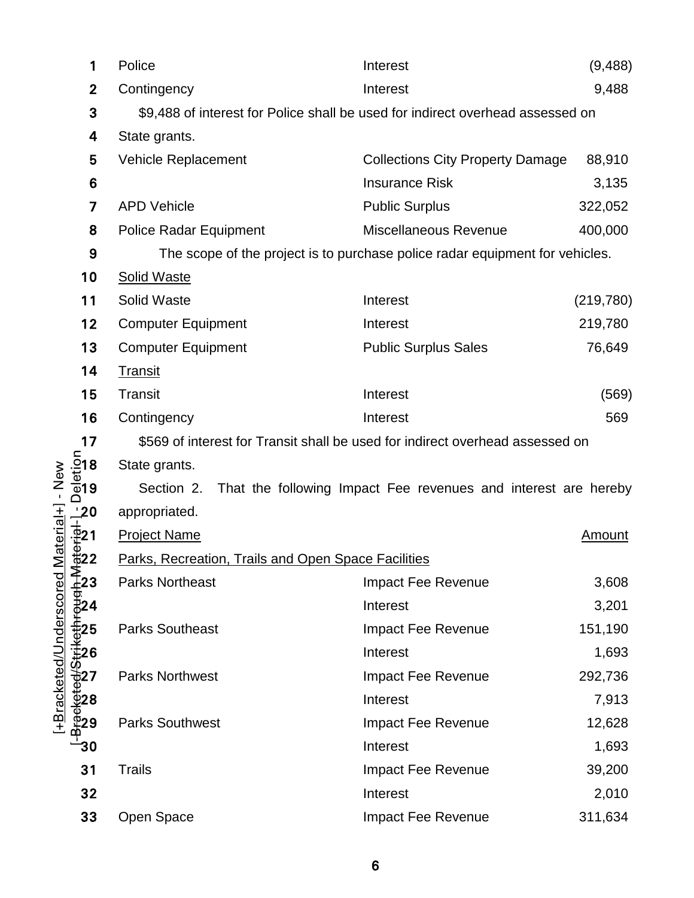|                                             | 1                  | Police<br>Interest                                                             |                                                                              | (9, 488)   |  |  |  |  |  |
|---------------------------------------------|--------------------|--------------------------------------------------------------------------------|------------------------------------------------------------------------------|------------|--|--|--|--|--|
|                                             | $\mathbf{2}$       | Contingency                                                                    | Interest                                                                     | 9,488      |  |  |  |  |  |
|                                             | 3                  | \$9,488 of interest for Police shall be used for indirect overhead assessed on |                                                                              |            |  |  |  |  |  |
|                                             | 4                  | State grants.                                                                  |                                                                              |            |  |  |  |  |  |
|                                             | 5                  | <b>Vehicle Replacement</b><br><b>Collections City Property Damage</b>          |                                                                              |            |  |  |  |  |  |
|                                             | 6                  |                                                                                | <b>Insurance Risk</b>                                                        | 3,135      |  |  |  |  |  |
|                                             | 7                  | <b>APD Vehicle</b>                                                             | <b>Public Surplus</b>                                                        | 322,052    |  |  |  |  |  |
|                                             | 8                  | <b>Police Radar Equipment</b>                                                  | <b>Miscellaneous Revenue</b>                                                 | 400,000    |  |  |  |  |  |
|                                             | 9                  |                                                                                | The scope of the project is to purchase police radar equipment for vehicles. |            |  |  |  |  |  |
|                                             | 10                 | <b>Solid Waste</b>                                                             |                                                                              |            |  |  |  |  |  |
|                                             | 11                 | Solid Waste                                                                    | Interest                                                                     | (219, 780) |  |  |  |  |  |
|                                             | 12                 | <b>Computer Equipment</b>                                                      | Interest                                                                     | 219,780    |  |  |  |  |  |
|                                             | 13                 | <b>Computer Equipment</b>                                                      | <b>Public Surplus Sales</b>                                                  | 76,649     |  |  |  |  |  |
|                                             | 14                 | <b>Transit</b>                                                                 |                                                                              |            |  |  |  |  |  |
|                                             | 15                 | <b>Transit</b><br>Interest<br>Contingency<br>Interest                          |                                                                              |            |  |  |  |  |  |
|                                             | 16                 |                                                                                |                                                                              |            |  |  |  |  |  |
|                                             | 17                 | \$569 of interest for Transit shall be used for indirect overhead assessed on  |                                                                              |            |  |  |  |  |  |
| $\frac{5}{9}$ 18<br>$\frac{1}{9}$ 19        |                    | State grants.                                                                  |                                                                              |            |  |  |  |  |  |
| $-$ New                                     |                    | That the following Impact Fee revenues and interest are hereby<br>Section 2.   |                                                                              |            |  |  |  |  |  |
|                                             | 20_                | appropriated.                                                                  |                                                                              |            |  |  |  |  |  |
| $\overline{2}21$                            |                    | <b>Project Name</b>                                                            |                                                                              | Amount     |  |  |  |  |  |
| $\mathsf{Material}+ \mathsf{]}$<br>—<br>#22 |                    | Parks. Recreation, Trails and Open Space Facilities                            |                                                                              |            |  |  |  |  |  |
|                                             | ี่≩ี้<br>≟23       | <b>Parks Northeast</b>                                                         | Impact Fee Revenue                                                           | 3,608      |  |  |  |  |  |
|                                             | 324                |                                                                                | Interest                                                                     | 3,201      |  |  |  |  |  |
| +Bracketed/Underscored                      | 25:                | <b>Parks Southeast</b>                                                         | Impact Fee Revenue                                                           | 151,190    |  |  |  |  |  |
|                                             | ∄26                |                                                                                | Interest                                                                     | 1,693      |  |  |  |  |  |
|                                             | 527                | <b>Parks Northwest</b>                                                         | Impact Fee Revenue                                                           | 292,736    |  |  |  |  |  |
|                                             | ⊉ี28               |                                                                                | Interest                                                                     | 7,913      |  |  |  |  |  |
|                                             | <b><u>ē̃29</u></b> | <b>Parks Southwest</b>                                                         | Impact Fee Revenue                                                           | 12,628     |  |  |  |  |  |
|                                             | 30                 |                                                                                | Interest                                                                     | 1,693      |  |  |  |  |  |
|                                             | 31                 | <b>Trails</b>                                                                  | Impact Fee Revenue                                                           | 39,200     |  |  |  |  |  |
|                                             | 32                 |                                                                                | Interest                                                                     | 2,010      |  |  |  |  |  |
|                                             | 33                 | Open Space                                                                     | Impact Fee Revenue                                                           | 311,634    |  |  |  |  |  |

[+Bracketed/Underscored Material+] - New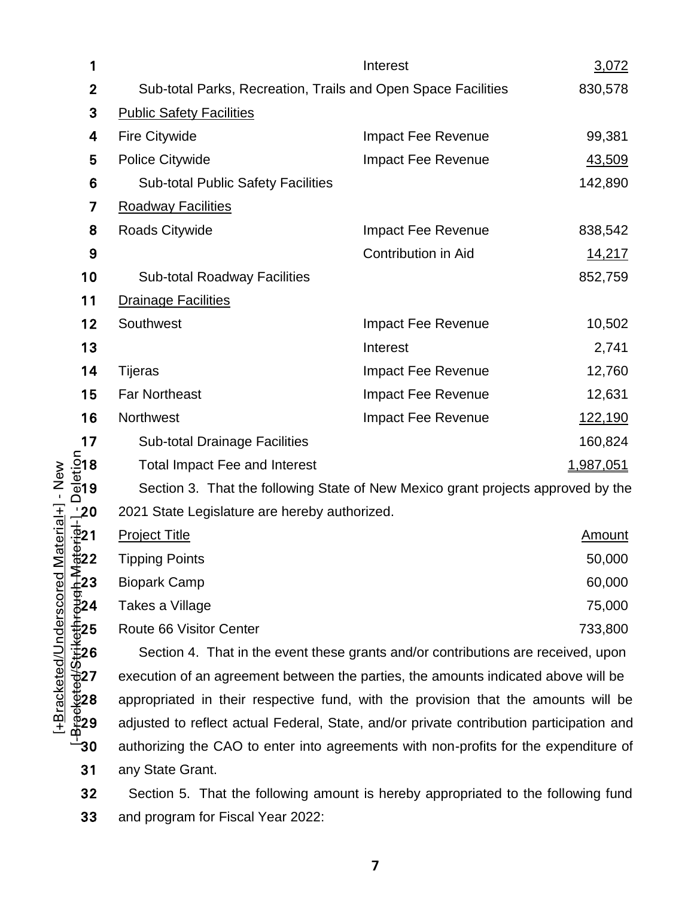|                          | 1                                                                                                                                                                                                   | Interest<br>3,072                                                                        |                              |                  |  |  |  |  |
|--------------------------|-----------------------------------------------------------------------------------------------------------------------------------------------------------------------------------------------------|------------------------------------------------------------------------------------------|------------------------------|------------------|--|--|--|--|
|                          | $\overline{2}$                                                                                                                                                                                      | Sub-total Parks, Recreation, Trails and Open Space Facilities<br>830,578                 |                              |                  |  |  |  |  |
|                          | 3                                                                                                                                                                                                   | <b>Public Safety Facilities</b>                                                          |                              |                  |  |  |  |  |
|                          | 4                                                                                                                                                                                                   | Fire Citywide                                                                            | Impact Fee Revenue<br>99,381 |                  |  |  |  |  |
|                          | 5                                                                                                                                                                                                   | <b>Police Citywide</b>                                                                   | Impact Fee Revenue           | 43,509           |  |  |  |  |
|                          | 6                                                                                                                                                                                                   | <b>Sub-total Public Safety Facilities</b>                                                |                              | 142,890          |  |  |  |  |
|                          | 7                                                                                                                                                                                                   | <b>Roadway Facilities</b>                                                                |                              |                  |  |  |  |  |
|                          | 8                                                                                                                                                                                                   | Roads Citywide                                                                           | Impact Fee Revenue           | 838,542          |  |  |  |  |
|                          | 9                                                                                                                                                                                                   |                                                                                          | <b>Contribution in Aid</b>   | 14,217           |  |  |  |  |
|                          | 10                                                                                                                                                                                                  | <b>Sub-total Roadway Facilities</b>                                                      |                              | 852,759          |  |  |  |  |
|                          | 11                                                                                                                                                                                                  | <b>Drainage Facilities</b>                                                               |                              |                  |  |  |  |  |
|                          | 12                                                                                                                                                                                                  | Southwest                                                                                | Impact Fee Revenue           | 10,502           |  |  |  |  |
|                          | 13                                                                                                                                                                                                  |                                                                                          | Interest                     | 2,741            |  |  |  |  |
|                          | 14                                                                                                                                                                                                  | <b>Tijeras</b>                                                                           | Impact Fee Revenue           | 12,760           |  |  |  |  |
|                          | 15                                                                                                                                                                                                  | <b>Far Northeast</b>                                                                     | Impact Fee Revenue           | 12,631           |  |  |  |  |
|                          | 16                                                                                                                                                                                                  | Northwest                                                                                | Impact Fee Revenue           | 122,190          |  |  |  |  |
|                          | 17                                                                                                                                                                                                  | <b>Sub-total Drainage Facilities</b>                                                     | 160,824                      |                  |  |  |  |  |
|                          |                                                                                                                                                                                                     | <b>Total Impact Fee and Interest</b>                                                     |                              | <u>1,987,051</u> |  |  |  |  |
| Material+] - New         | $\frac{\sin 8}{\sin 9}$                                                                                                                                                                             | Section 3. That the following State of New Mexico grant projects approved by the         |                              |                  |  |  |  |  |
|                          | $\frac{1}{4}$ $\frac{1}{4}$ $\frac{1}{4}$ $\frac{1}{4}$ $\frac{1}{4}$ $\frac{1}{4}$ $\frac{1}{4}$ $\frac{1}{4}$ $\frac{1}{4}$ $\frac{1}{4}$ $\frac{1}{4}$ $\frac{1}{4}$ $\frac{1}{4}$ $\frac{1}{4}$ | 2021 State Legislature are hereby authorized.                                            |                              |                  |  |  |  |  |
|                          |                                                                                                                                                                                                     | <b>Project Title</b>                                                                     |                              | <u>Amount</u>    |  |  |  |  |
|                          |                                                                                                                                                                                                     | <b>Tipping Points</b>                                                                    |                              | 50,000           |  |  |  |  |
|                          |                                                                                                                                                                                                     | <b>Biopark Camp</b>                                                                      |                              | 60,000           |  |  |  |  |
|                          | ਰ<br>ਰੂ24<br>ਉ <sup>2</sup> 4                                                                                                                                                                       | Takes a Village                                                                          |                              | 75,000           |  |  |  |  |
| -Bracketed/Underscored N | ∄្អ25                                                                                                                                                                                               | 733,800<br>Route 66 Visitor Center                                                       |                              |                  |  |  |  |  |
|                          | .<br>‡26                                                                                                                                                                                            | Section 4. That in the event these grants and/or contributions are received, upon        |                              |                  |  |  |  |  |
|                          | 932<br>03228<br>-3030                                                                                                                                                                               | execution of an agreement between the parties, the amounts indicated above will be       |                              |                  |  |  |  |  |
|                          |                                                                                                                                                                                                     | appropriated in their respective fund, with the provision that the amounts will be       |                              |                  |  |  |  |  |
|                          |                                                                                                                                                                                                     | adjusted to reflect actual Federal, State, and/or private contribution participation and |                              |                  |  |  |  |  |
|                          |                                                                                                                                                                                                     | authorizing the CAO to enter into agreements with non-profits for the expenditure of     |                              |                  |  |  |  |  |
|                          | 31                                                                                                                                                                                                  | any State Grant.                                                                         |                              |                  |  |  |  |  |

Section 5. That the following amount is hereby appropriated to the following fund and program for Fiscal Year 2022: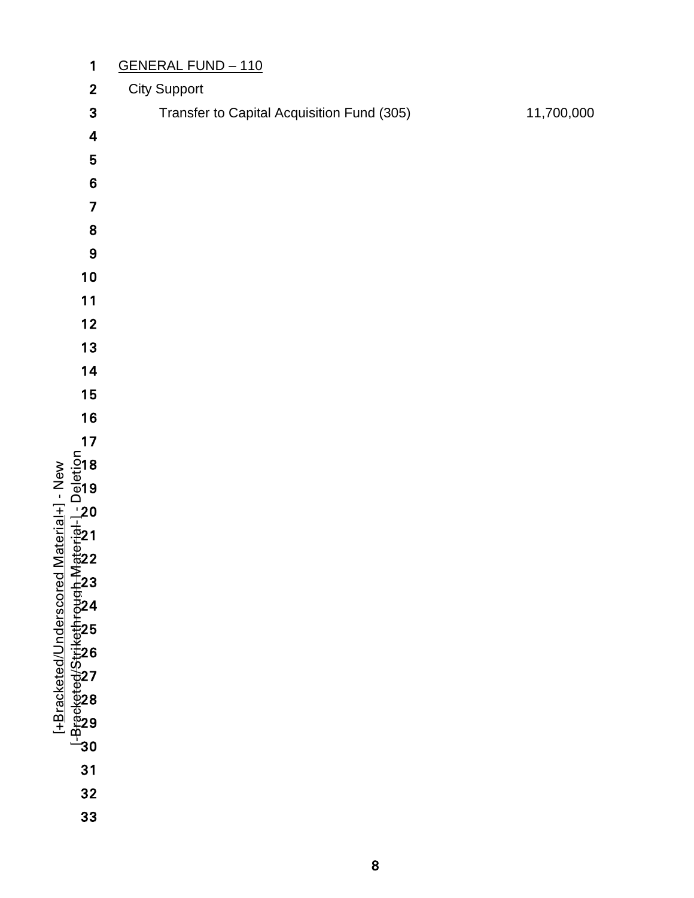| $\mathbf{1}$                                                                                                                 | <b>GENERAL FUND - 110</b>                  |            |  |  |  |  |  |  |
|------------------------------------------------------------------------------------------------------------------------------|--------------------------------------------|------------|--|--|--|--|--|--|
| $\mathbf{2}$                                                                                                                 | <b>City Support</b>                        |            |  |  |  |  |  |  |
| 3                                                                                                                            | Transfer to Capital Acquisition Fund (305) | 11,700,000 |  |  |  |  |  |  |
| $\overline{\mathbf{4}}$                                                                                                      |                                            |            |  |  |  |  |  |  |
| 5                                                                                                                            |                                            |            |  |  |  |  |  |  |
| $\bf 6$                                                                                                                      |                                            |            |  |  |  |  |  |  |
| 7                                                                                                                            |                                            |            |  |  |  |  |  |  |
| 8                                                                                                                            |                                            |            |  |  |  |  |  |  |
| $\boldsymbol{9}$                                                                                                             |                                            |            |  |  |  |  |  |  |
| $10$                                                                                                                         |                                            |            |  |  |  |  |  |  |
| $11$                                                                                                                         |                                            |            |  |  |  |  |  |  |
| 12                                                                                                                           |                                            |            |  |  |  |  |  |  |
| $13$                                                                                                                         |                                            |            |  |  |  |  |  |  |
| 14                                                                                                                           |                                            |            |  |  |  |  |  |  |
| 15                                                                                                                           |                                            |            |  |  |  |  |  |  |
| 16                                                                                                                           |                                            |            |  |  |  |  |  |  |
| 17                                                                                                                           |                                            |            |  |  |  |  |  |  |
|                                                                                                                              |                                            |            |  |  |  |  |  |  |
|                                                                                                                              |                                            |            |  |  |  |  |  |  |
|                                                                                                                              |                                            |            |  |  |  |  |  |  |
|                                                                                                                              |                                            |            |  |  |  |  |  |  |
|                                                                                                                              |                                            |            |  |  |  |  |  |  |
|                                                                                                                              |                                            |            |  |  |  |  |  |  |
|                                                                                                                              |                                            |            |  |  |  |  |  |  |
|                                                                                                                              |                                            |            |  |  |  |  |  |  |
|                                                                                                                              |                                            |            |  |  |  |  |  |  |
|                                                                                                                              |                                            |            |  |  |  |  |  |  |
|                                                                                                                              |                                            |            |  |  |  |  |  |  |
|                                                                                                                              |                                            |            |  |  |  |  |  |  |
| T-Bracketed/Underscored Material+T - New<br>U-Breeketed/Strikethreugh Material-T - Deletion<br>2 a a a a a a a a a a a a a a |                                            |            |  |  |  |  |  |  |
| 31                                                                                                                           |                                            |            |  |  |  |  |  |  |
| 32                                                                                                                           |                                            |            |  |  |  |  |  |  |
| 33                                                                                                                           |                                            |            |  |  |  |  |  |  |
|                                                                                                                              |                                            |            |  |  |  |  |  |  |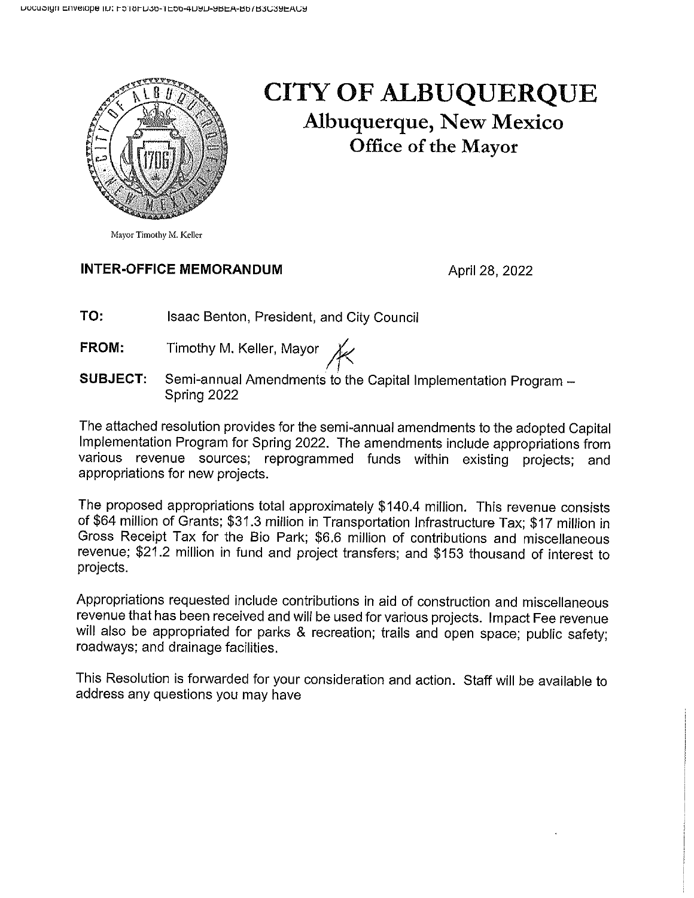

### **CITY OF ALBUQUERQUE Albuquerque, New Mexico** Office of the Mayor

Mayor Timothy M. Keller

#### **INTER-OFFICE MEMORANDUM**

April 28, 2022

TO: **Isaac Benton, President, and City Council** 

Timothy M. Keller, Mayor X FROM:

**SUBJECT.** Semi-annual Amendments to the Capital Implementation Program -Spring 2022

The attached resolution provides for the semi-annual amendments to the adopted Capital Implementation Program for Spring 2022. The amendments include appropriations from various revenue sources; reprogrammed funds within existing projects; and appropriations for new projects.

The proposed appropriations total approximately \$140.4 million. This revenue consists of \$64 million of Grants; \$31.3 million in Transportation Infrastructure Tax; \$17 million in Gross Receipt Tax for the Bio Park; \$6.6 million of contributions and miscellaneous revenue; \$21.2 million in fund and project transfers; and \$153 thousand of interest to projects.

Appropriations requested include contributions in aid of construction and miscellaneous revenue that has been received and will be used for various projects. Impact Fee revenue will also be appropriated for parks & recreation; trails and open space; public safety; roadways; and drainage facilities.

This Resolution is forwarded for your consideration and action. Staff will be available to address any questions you may have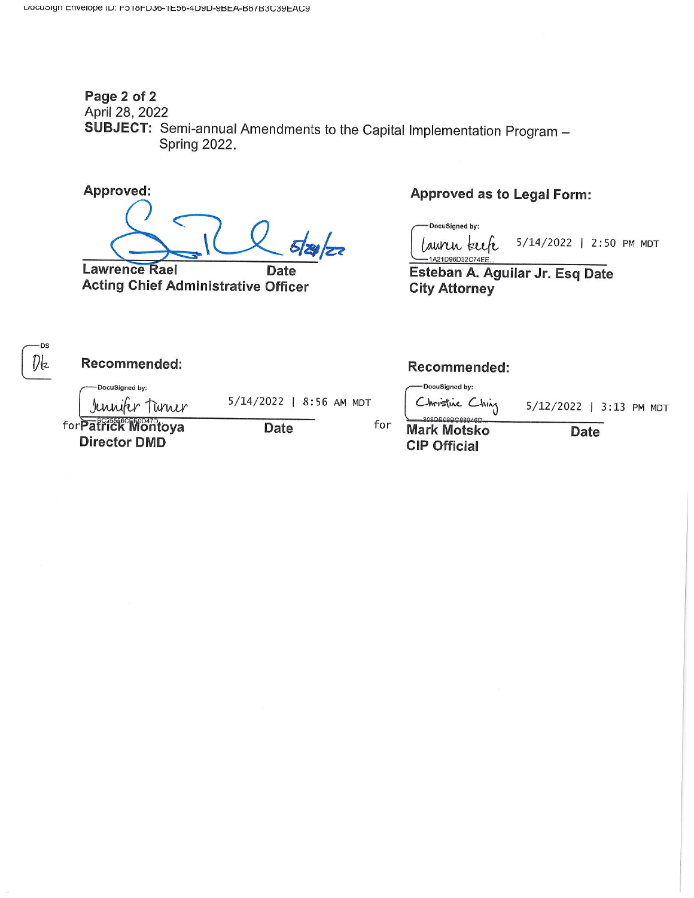#### Page 2 of 2 April 28, 2022 SUBJECT: Semi-annual Amendments to the Capital Implementation Program -**Spring 2022.**

Approved:

-DS

**Lawrence Rael Date Acting Chief Administrative Officer** 

#### **Approved as to Legal Form:**

DocuSigned by: 5/14/2022 | 2:50 PM MDT awin kuh

1A21D96D32C74EE Esteban A. Aguilar Jr. Esq Date **City Attorney** 

Dk Recommended: Recommended: DocuSigned by: DocuSigned by: Christine Ching 5/14/2022 | 8:56 AM MDT Jennifer Tunner 5/12/2022 | 3:13 PM MDT for**Patrick Montoya** for **Date Mark Motsko Date Director DMD CIP Official**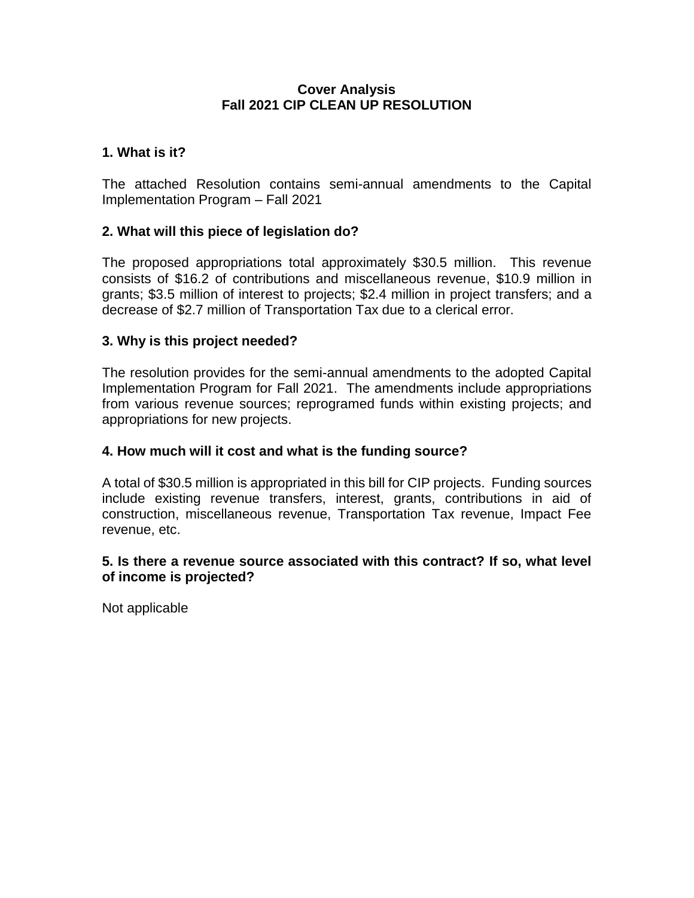#### **Cover Analysis Fall 2021 CIP CLEAN UP RESOLUTION**

#### **1. What is it?**

The attached Resolution contains semi-annual amendments to the Capital Implementation Program – Fall 2021

#### **2. What will this piece of legislation do?**

The proposed appropriations total approximately \$30.5 million. This revenue consists of \$16.2 of contributions and miscellaneous revenue, \$10.9 million in grants; \$3.5 million of interest to projects; \$2.4 million in project transfers; and a decrease of \$2.7 million of Transportation Tax due to a clerical error.

#### **3. Why is this project needed?**

The resolution provides for the semi-annual amendments to the adopted Capital Implementation Program for Fall 2021. The amendments include appropriations from various revenue sources; reprogramed funds within existing projects; and appropriations for new projects.

#### **4. How much will it cost and what is the funding source?**

A total of \$30.5 million is appropriated in this bill for CIP projects. Funding sources include existing revenue transfers, interest, grants, contributions in aid of construction, miscellaneous revenue, Transportation Tax revenue, Impact Fee revenue, etc.

#### **5. Is there a revenue source associated with this contract? If so, what level of income is projected?**

Not applicable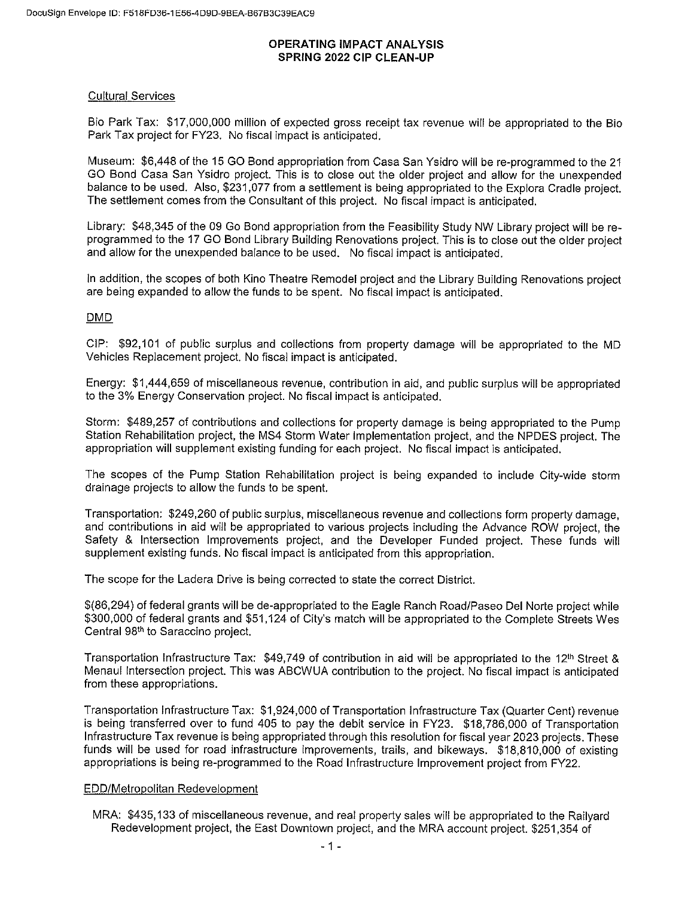#### **OPERATING IMPACT ANALYSIS SPRING 2022 CIP CLEAN-UP**

#### **Cultural Services**

Bio Park Tax: \$17,000,000 million of expected gross receipt tax revenue will be appropriated to the Bio Park Tax project for FY23. No fiscal impact is anticipated.

Museum: \$6,448 of the 15 GO Bond appropriation from Casa San Ysidro will be re-programmed to the 21 GO Bond Casa San Ysidro project. This is to close out the older project and allow for the unexpended balance to be used. Also, \$231,077 from a settlement is being appropriated to the Explora Cradle project. The settlement comes from the Consultant of this project. No fiscal impact is anticipated.

Library: \$48,345 of the 09 Go Bond appropriation from the Feasibility Study NW Library project will be reprogrammed to the 17 GO Bond Library Building Renovations project. This is to close out the older project and allow for the unexpended balance to be used. No fiscal impact is anticipated.

In addition, the scopes of both Kino Theatre Remodel project and the Library Building Renovations project are being expanded to allow the funds to be spent. No fiscal impact is anticipated.

#### **DMD**

CIP: \$92,101 of public surplus and collections from property damage will be appropriated to the MD Vehicles Replacement project. No fiscal impact is anticipated.

Energy: \$1,444,659 of miscellaneous revenue, contribution in aid, and public surplus will be appropriated to the 3% Energy Conservation project. No fiscal impact is anticipated.

Storm: \$489,257 of contributions and collections for property damage is being appropriated to the Pump Station Rehabilitation project, the MS4 Storm Water Implementation project, and the NPDES project. The appropriation will supplement existing funding for each project. No fiscal impact is anticipated.

The scopes of the Pump Station Rehabilitation project is being expanded to include City-wide storm drainage projects to allow the funds to be spent.

Transportation: \$249,260 of public surplus, miscellaneous revenue and collections form property damage. and contributions in aid will be appropriated to various projects including the Advance ROW project, the Safety & Intersection Improvements project, and the Developer Funded project. These funds will supplement existing funds. No fiscal impact is anticipated from this appropriation.

The scope for the Ladera Drive is being corrected to state the correct District.

\$(86,294) of federal grants will be de-appropriated to the Eagle Ranch Road/Paseo Del Norte project while \$300,000 of federal grants and \$51,124 of City's match will be appropriated to the Complete Streets Wes Central 98<sup>th</sup> to Saraccino project.

Transportation Infrastructure Tax: \$49,749 of contribution in aid will be appropriated to the 12<sup>th</sup> Street & Menaul Intersection project. This was ABCWUA contribution to the project. No fiscal impact is anticipated from these appropriations.

Transportation Infrastructure Tax: \$1,924,000 of Transportation Infrastructure Tax (Quarter Cent) revenue is being transferred over to fund 405 to pay the debit service in FY23. \$18,786,000 of Transportation Infrastructure Tax revenue is being appropriated through this resolution for fiscal year 2023 projects. These funds will be used for road infrastructure improvements, trails, and bikeways. \$18,810,000 of existing appropriations is being re-programmed to the Road Infrastructure Improvement project from FY22.

#### EDD/Metropolitan Redevelopment

MRA: \$435,133 of miscellaneous revenue, and real property sales will be appropriated to the Railvard Redevelopment project, the East Downtown project, and the MRA account project. \$251,354 of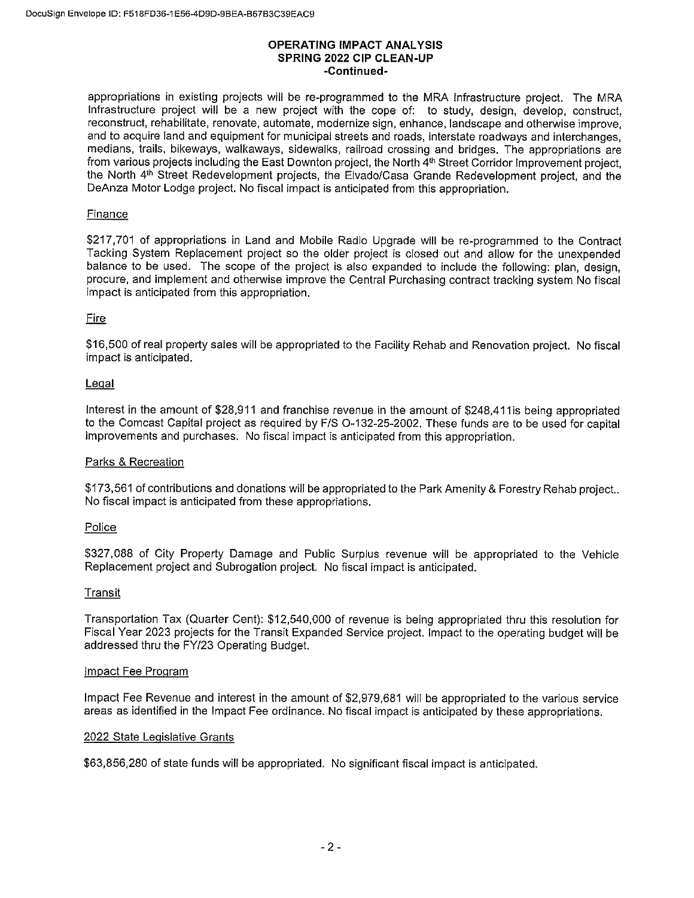#### **OPERATING IMPACT ANALYSIS** SPRING 2022 CIP CLEAN-UP -Continued-

appropriations in existing projects will be re-programmed to the MRA Infrastructure project. The MRA Infrastructure project will be a new project with the cope of: to study, design, develop, construct, reconstruct, rehabilitate, renovate, automate, modernize sign, enhance, landscape and otherwise improve. and to acquire land and equipment for municipal streets and roads, interstate roadways and interchanges, medians, trails, bikeways, walkaways, sidewalks, railroad crossing and bridges. The appropriations are from various projects including the East Downton project, the North 4th Street Corridor Improvement project, the North 4th Street Redevelopment projects, the Elvado/Casa Grande Redevelopment project, and the DeAnza Motor Lodge project. No fiscal impact is anticipated from this appropriation.

#### Finance

\$217,701 of appropriations in Land and Mobile Radio Upgrade will be re-programmed to the Contract Tacking System Replacement project so the older project is closed out and allow for the unexpended balance to be used. The scope of the project is also expanded to include the following: plan, design, procure, and implement and otherwise improve the Central Purchasing contract tracking system No fiscal impact is anticipated from this appropriation.

#### **Fire**

\$16,500 of real property sales will be appropriated to the Facility Rehab and Renovation project. No fiscal impact is anticipated.

#### Legal

Interest in the amount of \$28,911 and franchise revenue in the amount of \$248,411 is being appropriated to the Comcast Capital project as required by F/S O-132-25-2002. These funds are to be used for capital improvements and purchases. No fiscal impact is anticipated from this appropriation.

#### Parks & Recreation

\$173,561 of contributions and donations will be appropriated to the Park Amenity & Forestry Rehab project.. No fiscal impact is anticipated from these appropriations.

#### Police

\$327,088 of City Property Damage and Public Surplus revenue will be appropriated to the Vehicle Replacement project and Subrogation project. No fiscal impact is anticipated.

#### Transit

Transportation Tax (Quarter Cent): \$12,540,000 of revenue is being appropriated thru this resolution for Fiscal Year 2023 projects for the Transit Expanded Service project. Impact to the operating budget will be addressed thru the FY/23 Operating Budget.

#### Impact Fee Program

Impact Fee Revenue and interest in the amount of \$2,979,681 will be appropriated to the various service areas as identified in the Impact Fee ordinance. No fiscal impact is anticipated by these appropriations.

#### 2022 State Legislative Grants

\$63,856,280 of state funds will be appropriated. No significant fiscal impact is anticipated.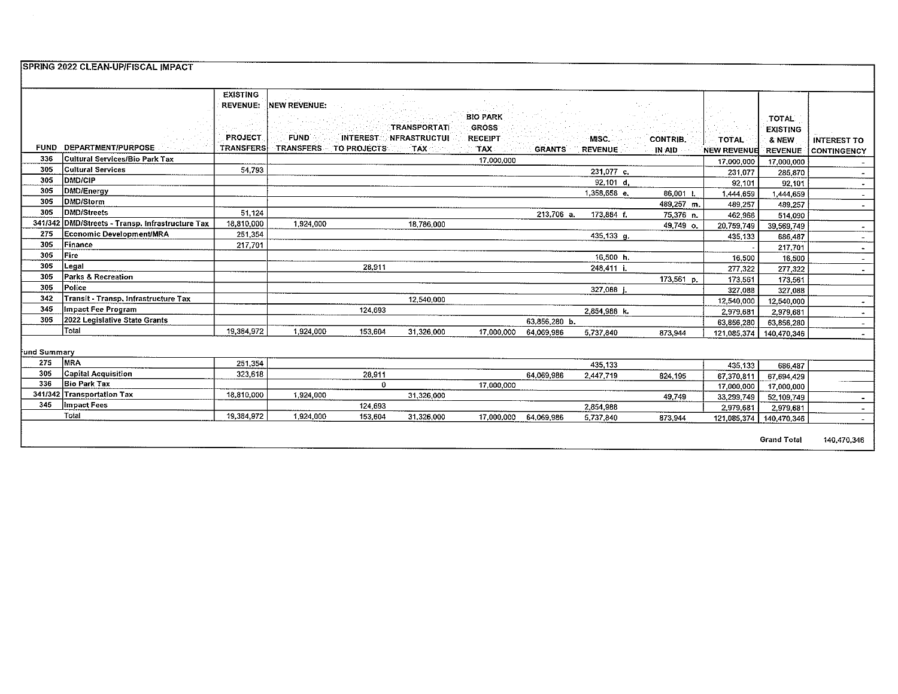|              | SPRING 2022 CLEAN-UP/FISCAL IMPACT       |                  |                     |             |                              |                 |               |                |                 |                    |                    |                          |
|--------------|------------------------------------------|------------------|---------------------|-------------|------------------------------|-----------------|---------------|----------------|-----------------|--------------------|--------------------|--------------------------|
|              |                                          |                  |                     |             |                              |                 |               |                |                 |                    |                    |                          |
|              |                                          |                  |                     |             |                              |                 |               |                |                 |                    |                    |                          |
|              |                                          | <b>EXISTING</b>  |                     |             |                              |                 |               |                |                 |                    |                    |                          |
|              |                                          | <b>REVENUE:</b>  | <b>NEW REVENUE:</b> |             |                              |                 |               |                |                 |                    |                    |                          |
|              |                                          |                  |                     |             |                              | <b>BIO PARK</b> |               |                |                 |                    | <b>TOTAL</b>       |                          |
|              |                                          |                  |                     |             | TRANSPORTATI                 | <b>GROSS</b>    |               |                |                 |                    | <b>EXISTING</b>    |                          |
|              |                                          | <b>PROJECT</b>   | <b>FUND</b>         |             | <b>INTEREST NFRASTRUCTUL</b> | <b>RECEIPT</b>  |               | MISC.          | <b>CONTRIB.</b> | TOTAL              | 8 NEW              | <b>INTEREST TO</b>       |
| <b>FUND</b>  | DEPARTMENT/PURPOSE                       | <b>TRANSFERS</b> | <b>TRANSFERS</b>    | TO PROJECTS | <b>TAX</b>                   | TAX             | <b>GRANTS</b> | <b>REVENUE</b> | IN AID          | <b>NEW REVENUE</b> | <b>REVENUE</b>     | CONTINGENCY              |
| 336          | Cultural Services/Bio Park Tax           |                  |                     |             |                              | 17,000,000      |               |                |                 | 17,000,000         | 17,000,000         |                          |
| 305          | <b>Cultural Services</b>                 | 54,793           |                     |             |                              |                 |               | 231,077 c.     |                 | 231,077            | 285.870            |                          |
| 305          | <b>DMD/CIP</b>                           |                  |                     |             |                              |                 |               | $92,101$ d,    |                 | 92.101             | 92,101             | $\bullet$                |
| 305          | DMD/Energy                               |                  |                     |             |                              |                 |               | 1,358,658 e.   | 86.001 L        | 1,444,659          | 1,444,659          | $\sim$                   |
| 305          | DMD/Storm                                |                  |                     |             |                              |                 |               |                | 489,257 m.      | 489.257            | 489,257            | $\blacksquare$           |
| 305          | <b>DMD/Streets</b>                       | 51,124           |                     |             |                              |                 | 213,706 a.    | 173,884 f.     | 75,376 n.       | 462,966            | 514,090            |                          |
| 341/342      | DMD/Streets - Transp. Infrastructure Tax | 18,810,000       | 1,924,000           |             | 18,786,000                   |                 |               |                | 49,749 o.       | 20,759,749         | 39,569,749         | $\overline{\phantom{a}}$ |
| 275          | Economic Development/MRA                 | 251,354          |                     |             |                              |                 |               | 435,133 g.     |                 | 435,133            | 686,487            | $\blacksquare$           |
| 305          | Finance                                  | 217,701          |                     |             |                              |                 |               |                |                 |                    | 217,701            | $\blacksquare$           |
| 305          | Fire                                     |                  |                     |             |                              |                 |               | 16.500 h.      |                 | 16,500             | 16,500             | $\blacksquare$           |
| 305          | Legal                                    |                  |                     | 28,911      |                              |                 |               | 248,411 i      |                 | 277,322            | 277,322            | $\sim$                   |
| 305          | Parks & Recreation                       |                  |                     |             |                              |                 |               |                | 173.561 p.      | 173,561            | 173,561            |                          |
| 305          | Police                                   |                  |                     |             |                              |                 |               | 327,088 j      |                 | 327,088            | 327,088            |                          |
| 342          | Transit - Transp. Infrastructure Tax     |                  |                     |             | 12,540,000                   |                 |               |                |                 | 12,540,000         | 12,540,000         | $\overline{\phantom{a}}$ |
| 345          | Impact Fee Program                       |                  |                     | 124.693     |                              |                 |               | 2.854,988 k.   |                 | 2,979,681          | 2,979,681          | $\blacksquare$           |
| 305          | 2022 Legislative State Grants            |                  |                     |             |                              |                 | 63,856,280 b. |                |                 | 63,856,280         | 63,856,280         | $\overline{\phantom{a}}$ |
|              | Total                                    | 19,384,972       | 1,924,000           | 153,604     | 31,326,000                   | 17,000,000      | 64,069 986    | 5,737,840      | 873 944         | 121,085,374        | 140,470,346        | $\overline{\phantom{a}}$ |
|              |                                          |                  |                     |             |                              |                 |               |                |                 |                    |                    |                          |
| fund Summary |                                          |                  |                     |             |                              |                 |               |                |                 |                    |                    |                          |
| 275          | <b>MRA</b>                               | 251,354          |                     |             |                              |                 |               | 435,133        |                 | 435,133            | 686,487            |                          |
| 305          | <b>Capital Acquisition</b>               | 323,618          |                     | 28,911      |                              |                 | 64,069,986    | 2,447,719      | 824 195         | 67,370,811         | 67,694,429         |                          |
| 336          | <b>Bio Park Tax</b>                      |                  |                     | $\Omega$    |                              | 17,000,000      |               |                |                 | 17,000,000         | 17,000,000         |                          |
|              | 341/342 Transportation Tax               | 18,810,000       | 1,924,000           |             | 31,326,000                   |                 |               |                | 49749           | 33,299,749         | 52,109,749         | $\sim$                   |
| 345          | Impact Fees                              |                  |                     | 124,693     |                              |                 |               | 2,854,988      |                 | 2,979,681          | 2,979,681          | $\sim$                   |
|              | Total                                    | 19,384,972       | 1,924,000           | 153,604     | 31,326,000                   | 17,000,000      | 64,069.986    | 5,737,840      | 873.944         | 121,085,374        | 140,470,346        |                          |
|              |                                          |                  |                     |             |                              |                 |               |                |                 |                    |                    |                          |
|              |                                          |                  |                     |             |                              |                 |               |                |                 |                    | <b>Grand Total</b> | 140.470,346              |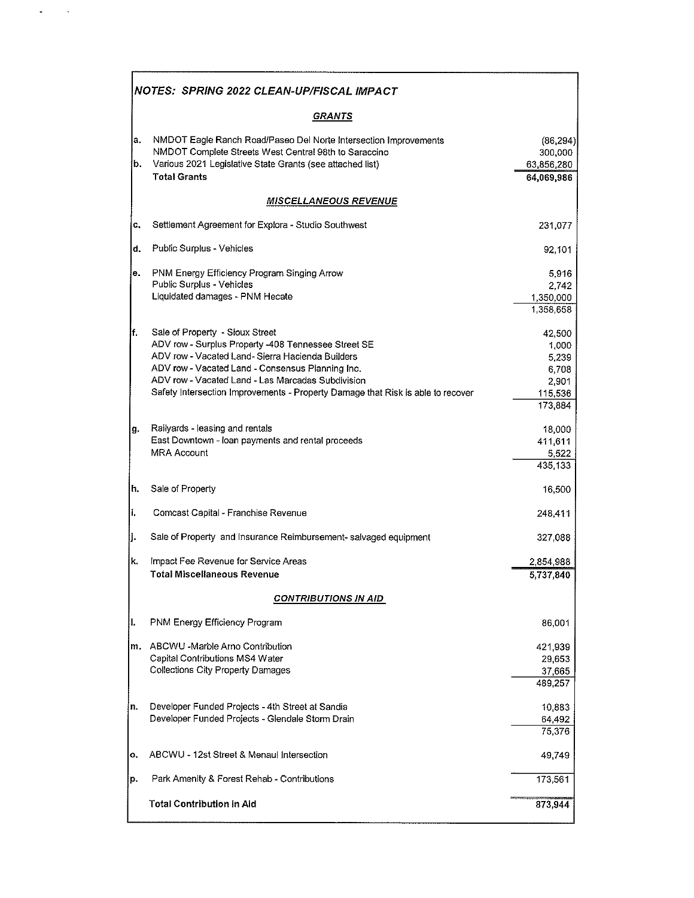|          | NOTES: SPRING 2022 CLEAN-UP/FISCAL IMPACT                                                                                                                                                                                                                                                                                              |                                                                  |
|----------|----------------------------------------------------------------------------------------------------------------------------------------------------------------------------------------------------------------------------------------------------------------------------------------------------------------------------------------|------------------------------------------------------------------|
|          | <b>GRANTS</b>                                                                                                                                                                                                                                                                                                                          |                                                                  |
| а.<br>b. | NMDOT Eagle Ranch Road/Paseo Del Norte Intersection Improvements<br>NMDOT Complete Streets West Central 98th to Saraccino<br>Various 2021 Legislative State Grants (see attached list)<br><b>Total Grants</b>                                                                                                                          | (86, 294)<br>300,000<br>63,856,280<br>64,069,986                 |
|          | <b>MISCELLANEOUS REVENUE</b>                                                                                                                                                                                                                                                                                                           |                                                                  |
| c.       | Settlement Agreement for Explora - Studio Southwest                                                                                                                                                                                                                                                                                    | 231,077                                                          |
| d.       | Public Surplus - Vehicles                                                                                                                                                                                                                                                                                                              | 92,101                                                           |
| е.       | PNM Energy Efficiency Program Singing Arrow<br>Public Surplus - Vehicles<br>Liquidated damages - PNM Hecate                                                                                                                                                                                                                            | 5,916<br>2,742<br>1,350,000<br>1,358,658                         |
| lf.      | Sale of Property - Sioux Street<br>ADV row - Surplus Property -408 Tennessee Street SE<br>ADV row - Vacated Land- Sierra Hacienda Builders<br>ADV row - Vacated Land - Consensus Planning Inc.<br>ADV row - Vacated Land - Las Marcadas Subdivision<br>Safety Intersection Improvements - Property Damage that Risk is able to recover | 42,500<br>1,000<br>5,239<br>6,708<br>2,901<br>115,536<br>173,884 |
| g.       | Railyards - leasing and rentals<br>East Downtown - loan payments and rental proceeds<br><b>MRA Account</b>                                                                                                                                                                                                                             | 18,000<br>411,611<br>5,522<br>435,133                            |
| h.       | Sale of Property                                                                                                                                                                                                                                                                                                                       | 16,500                                                           |
| li.      | Comcast Capital - Franchise Revenue                                                                                                                                                                                                                                                                                                    | 248,411                                                          |
| ļj.      | Sale of Property and Insurance Reimbursement-salvaged equipment                                                                                                                                                                                                                                                                        | 327,088                                                          |
| k.       | Impact Fee Revenue for Service Areas<br><b>Total Miscellaneous Revenue</b>                                                                                                                                                                                                                                                             | 2,854,988<br>5,737,840                                           |
|          | <b>CONTRIBUTIONS IN AID</b>                                                                                                                                                                                                                                                                                                            |                                                                  |
| II.      | PNM Energy Efficiency Program                                                                                                                                                                                                                                                                                                          | 86,001                                                           |
| m.       | ABCWU -Marble Arno Contribution<br>Capital Contributions MS4 Water<br>Collections City Property Damages                                                                                                                                                                                                                                | 421,939<br>29,653<br>37,665<br>489,257                           |
| 'n.      | Developer Funded Projects - 4th Street at Sandia<br>Developer Funded Projects - Glendale Storm Drain                                                                                                                                                                                                                                   | 10,883<br>64,492<br>75,376                                       |
| o.       | ABCWU - 12st Street & Menaul Intersection                                                                                                                                                                                                                                                                                              | 49,749                                                           |
| p.       | Park Amenity & Forest Rehab - Contributions                                                                                                                                                                                                                                                                                            | 173,561                                                          |
|          | <b>Total Contribution in Aid</b>                                                                                                                                                                                                                                                                                                       | 873,944                                                          |

 $\varphi_{\rm{max}}$  ,  $\varphi_{\rm{max}}$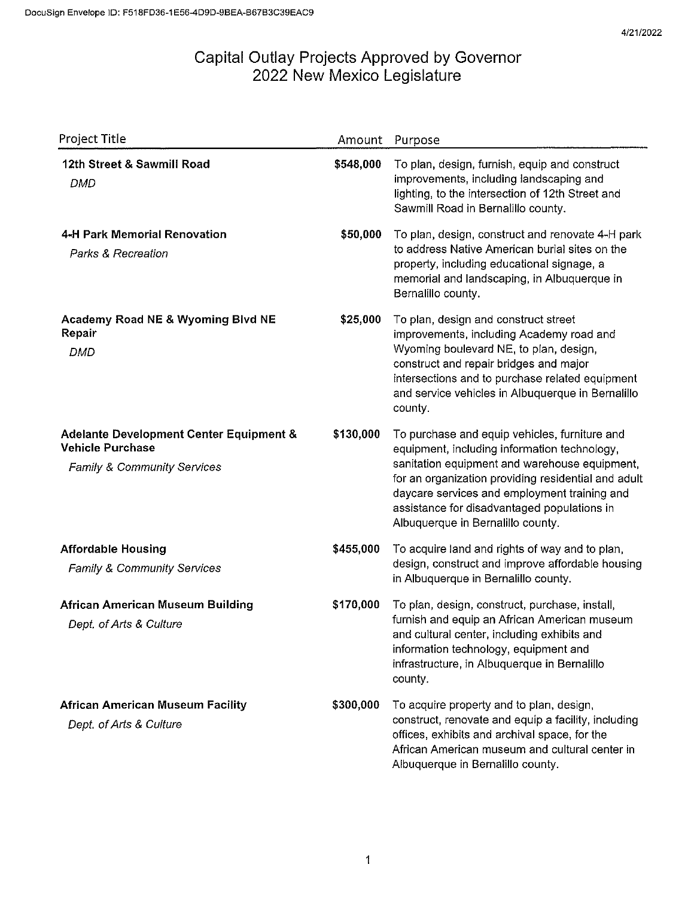| Project Title                                                                                                | Amount    | Purpose                                                                                                                                                                                                                                                                                                                                   |
|--------------------------------------------------------------------------------------------------------------|-----------|-------------------------------------------------------------------------------------------------------------------------------------------------------------------------------------------------------------------------------------------------------------------------------------------------------------------------------------------|
| 12th Street & Sawmill Road<br><b>DMD</b>                                                                     | \$548,000 | To plan, design, furnish, equip and construct<br>improvements, including landscaping and<br>lighting, to the intersection of 12th Street and<br>Sawmill Road in Bernalillo county.                                                                                                                                                        |
| 4-H Park Memorial Renovation<br>Parks & Recreation                                                           | \$50,000  | To plan, design, construct and renovate 4-H park<br>to address Native American burial sites on the<br>property, including educational signage, a<br>memorial and landscaping, in Albuquerque in<br>Bernalillo county.                                                                                                                     |
| Academy Road NE & Wyoming Blvd NE<br>Repair<br><b>DMD</b>                                                    | \$25,000  | To plan, design and construct street<br>improvements, including Academy road and<br>Wyoming boulevard NE, to plan, design,<br>construct and repair bridges and major<br>intersections and to purchase related equipment<br>and service vehicles in Albuquerque in Bernalillo<br>county.                                                   |
| Adelante Development Center Equipment &<br><b>Vehicle Purchase</b><br><b>Family &amp; Community Services</b> | \$130,000 | To purchase and equip vehicles, furniture and<br>equipment, including information technology,<br>sanitation equipment and warehouse equipment,<br>for an organization providing residential and adult<br>daycare services and employment training and<br>assistance for disadvantaged populations in<br>Albuquerque in Bernalillo county. |
| <b>Affordable Housing</b><br>Family & Community Services                                                     | \$455,000 | To acquire land and rights of way and to plan,<br>design, construct and improve affordable housing<br>in Albuquerque in Bernalillo county.                                                                                                                                                                                                |
| <b>African American Museum Building</b><br>Dept. of Arts & Culture                                           | \$170,000 | To plan, design, construct, purchase, install,<br>furnish and equip an African American museum<br>and cultural center, including exhibits and<br>information technology, equipment and<br>infrastructure, in Albuquerque in Bernalillo<br>county.                                                                                         |
| <b>African American Museum Facility</b><br>Dept. of Arts & Culture                                           | \$300,000 | To acquire property and to plan, design,<br>construct, renovate and equip a facility, including<br>offices, exhibits and archival space, for the<br>African American museum and cultural center in<br>Albuquerque in Bernalillo county.                                                                                                   |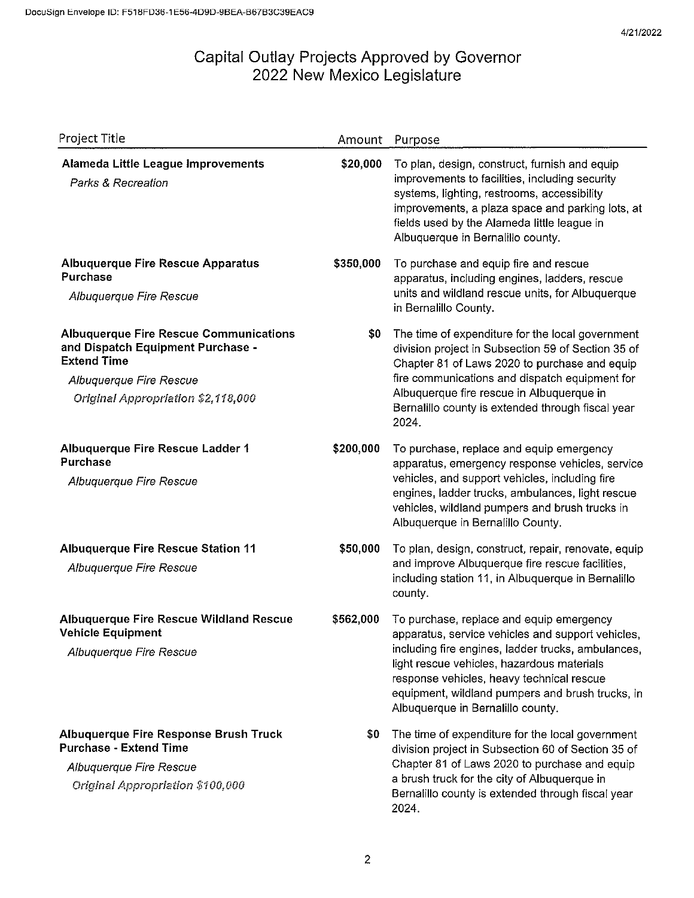| Project Title                                                                                                                                                             | Amount    | Purpose                                                                                                                                                                                                                                                                                                                                 |
|---------------------------------------------------------------------------------------------------------------------------------------------------------------------------|-----------|-----------------------------------------------------------------------------------------------------------------------------------------------------------------------------------------------------------------------------------------------------------------------------------------------------------------------------------------|
| Alameda Little League Improvements<br><b>Parks &amp; Recreation</b>                                                                                                       | \$20,000  | To plan, design, construct, furnish and equip<br>improvements to facilities, including security<br>systems, lighting, restrooms, accessibility<br>improvements, a plaza space and parking lots, at<br>fields used by the Alameda little league in<br>Albuquerque in Bernalillo county.                                                  |
| <b>Albuquerque Fire Rescue Apparatus</b><br><b>Purchase</b><br>Albuquerque Fire Rescue                                                                                    | \$350,000 | To purchase and equip fire and rescue<br>apparatus, including engines, ladders, rescue<br>units and wildland rescue units, for Albuquerque<br>in Bernalillo County.                                                                                                                                                                     |
| <b>Albuquerque Fire Rescue Communications</b><br>and Dispatch Equipment Purchase -<br><b>Extend Time</b><br>Albuquerque Fire Rescue<br>Original Appropriation \$2,118,000 | \$0       | The time of expenditure for the local government<br>division project in Subsection 59 of Section 35 of<br>Chapter 81 of Laws 2020 to purchase and equip<br>fire communications and dispatch equipment for<br>Albuquerque fire rescue in Albuquerque in<br>Bernalillo county is extended through fiscal year<br>2024.                    |
| Albuquerque Fire Rescue Ladder 1<br>Purchase<br>Albuquerque Fire Rescue                                                                                                   | \$200,000 | To purchase, replace and equip emergency<br>apparatus, emergency response vehicles, service<br>vehicles, and support vehicles, including fire<br>engines, ladder trucks, ambulances, light rescue<br>vehicles, wildland pumpers and brush trucks in<br>Albuquerque in Bernalillo County.                                                |
| <b>Albuquerque Fire Rescue Station 11</b><br>Albuquerque Fire Rescue                                                                                                      | \$50,000  | To plan, design, construct, repair, renovate, equip<br>and improve Albuquerque fire rescue facilities,<br>including station 11, in Albuquerque in Bernalillo<br>county.                                                                                                                                                                 |
| <b>Albuquerque Fire Rescue Wildland Rescue</b><br><b>Vehicle Equipment</b><br>Albuquerque Fire Rescue                                                                     | \$562,000 | To purchase, replace and equip emergency<br>apparatus, service vehicles and support vehicles,<br>including fire engines, ladder trucks, ambulances,<br>light rescue vehicles, hazardous materials<br>response vehicles, heavy technical rescue<br>equipment, wildland pumpers and brush trucks, in<br>Albuquerque in Bernalillo county. |
| <b>Albuquerque Fire Response Brush Truck</b><br><b>Purchase - Extend Time</b><br>Albuquerque Fire Rescue<br>Original Appropriation \$100,000                              | \$0       | The time of expenditure for the local government<br>division project in Subsection 60 of Section 35 of<br>Chapter 81 of Laws 2020 to purchase and equip<br>a brush truck for the city of Albuquerque in<br>Bernalillo county is extended through fiscal year<br>2024.                                                                   |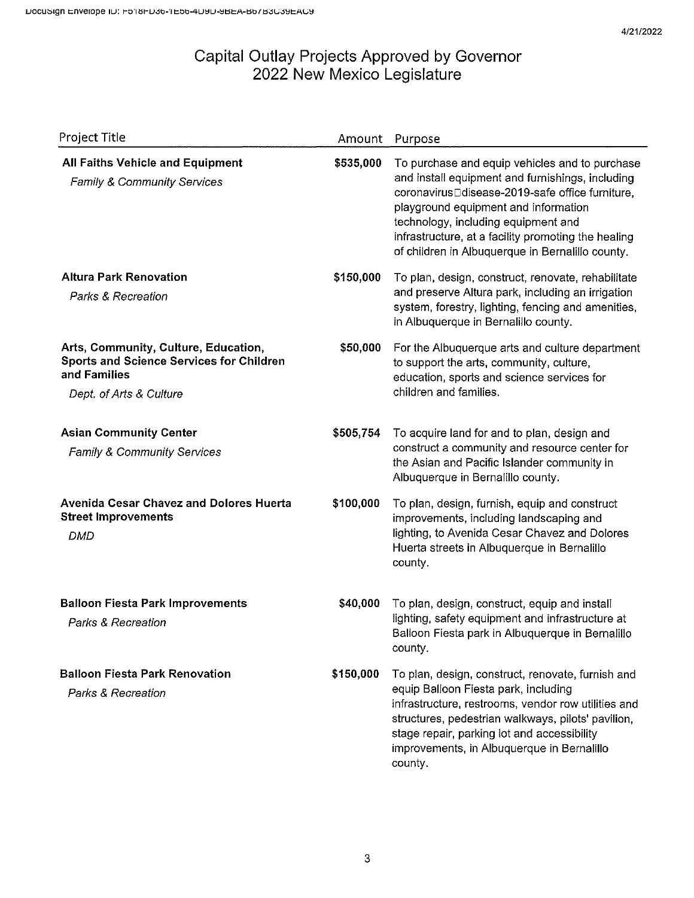| Project Title                                                                                                               | Amount    | Purpose                                                                                                                                                                                                                                                                                                                                         |
|-----------------------------------------------------------------------------------------------------------------------------|-----------|-------------------------------------------------------------------------------------------------------------------------------------------------------------------------------------------------------------------------------------------------------------------------------------------------------------------------------------------------|
| <b>All Faiths Vehicle and Equipment</b><br>Family & Community Services                                                      | \$535,000 | To purchase and equip vehicles and to purchase<br>and install equipment and furnishings, including<br>coronavirusDdisease-2019-safe office furniture,<br>playground equipment and information<br>technology, including equipment and<br>infrastructure, at a facility promoting the healing<br>of children in Albuquerque in Bernalillo county. |
| <b>Altura Park Renovation</b><br>Parks & Recreation                                                                         | \$150,000 | To plan, design, construct, renovate, rehabilitate<br>and preserve Altura park, including an irrigation<br>system, forestry, lighting, fencing and amenities,<br>in Albuquerque in Bernalillo county.                                                                                                                                           |
| Arts, Community, Culture, Education,<br>Sports and Science Services for Children<br>and Families<br>Dept. of Arts & Culture | \$50,000  | For the Albuquerque arts and culture department<br>to support the arts, community, culture,<br>education, sports and science services for<br>children and families.                                                                                                                                                                             |
| <b>Asian Community Center</b><br><b>Family &amp; Community Services</b>                                                     | \$505,754 | To acquire land for and to plan, design and<br>construct a community and resource center for<br>the Asian and Pacific Islander community in<br>Albuquerque in Bernalillo county.                                                                                                                                                                |
| <b>Avenida Cesar Chavez and Dolores Huerta</b><br><b>Street Improvements</b><br><b>DMD</b>                                  | \$100,000 | To plan, design, furnish, equip and construct<br>improvements, including landscaping and<br>lighting, to Avenida Cesar Chavez and Dolores<br>Huerta streets in Albuquerque in Bernalillo<br>county.                                                                                                                                             |
| <b>Balloon Fiesta Park Improvements</b><br>Parks & Recreation                                                               | \$40,000  | To plan, design, construct, equip and install<br>lighting, safety equipment and infrastructure at<br>Balloon Fiesta park in Albuquerque in Bernalillo<br>county.                                                                                                                                                                                |
| <b>Balloon Fiesta Park Renovation</b><br><b>Parks &amp; Recreation</b>                                                      | \$150,000 | To plan, design, construct, renovate, furnish and<br>equip Balloon Fiesta park, including<br>infrastructure, restrooms, vendor row utilities and<br>structures, pedestrian walkways, pilots' pavilion,<br>stage repair, parking lot and accessibility<br>improvements, in Albuquerque in Bernalillo<br>county.                                  |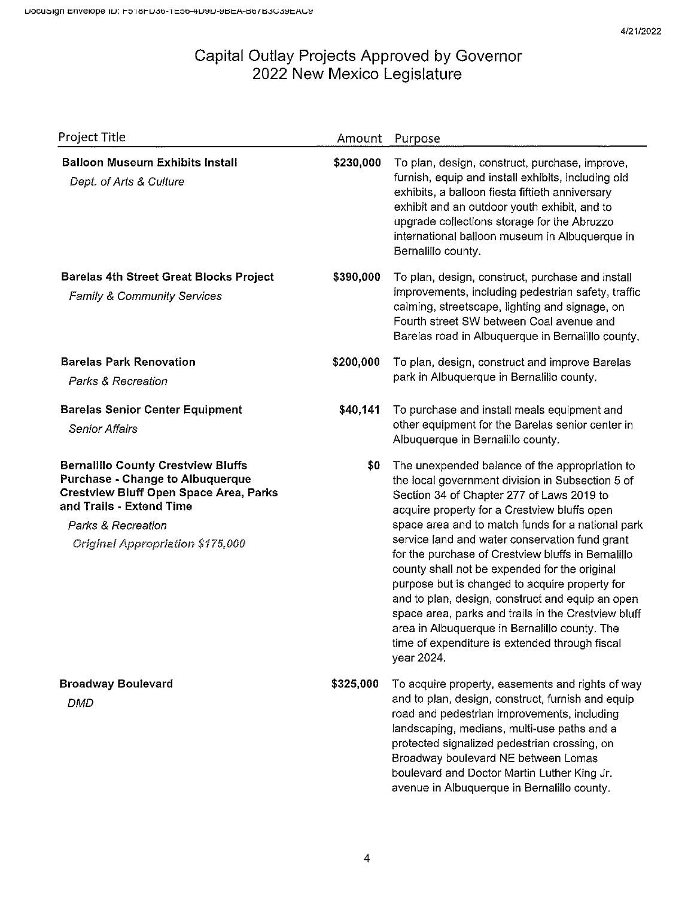| Project Title                                                                                                                                                                                                                      | Amount    | Purpose                                                                                                                                                                                                                                                                                                                                                                                                                                                                                                                                                                                                                                                                                     |
|------------------------------------------------------------------------------------------------------------------------------------------------------------------------------------------------------------------------------------|-----------|---------------------------------------------------------------------------------------------------------------------------------------------------------------------------------------------------------------------------------------------------------------------------------------------------------------------------------------------------------------------------------------------------------------------------------------------------------------------------------------------------------------------------------------------------------------------------------------------------------------------------------------------------------------------------------------------|
| <b>Balloon Museum Exhibits Install</b><br>Dept. of Arts & Culture                                                                                                                                                                  | \$230,000 | To plan, design, construct, purchase, improve,<br>furnish, equip and install exhibits, including old<br>exhibits, a balloon fiesta fiftieth anniversary<br>exhibit and an outdoor youth exhibit, and to<br>upgrade collections storage for the Abruzzo<br>international balloon museum in Albuquerque in<br>Bernalillo county.                                                                                                                                                                                                                                                                                                                                                              |
| <b>Barelas 4th Street Great Blocks Project</b><br><b>Family &amp; Community Services</b>                                                                                                                                           | \$390,000 | To plan, design, construct, purchase and install<br>improvements, including pedestrian safety, traffic<br>calming, streetscape, lighting and signage, on<br>Fourth street SW between Coal avenue and<br>Barelas road in Albuquerque in Bernalillo county.                                                                                                                                                                                                                                                                                                                                                                                                                                   |
| <b>Barelas Park Renovation</b><br><b>Parks &amp; Recreation</b>                                                                                                                                                                    | \$200,000 | To plan, design, construct and improve Barelas<br>park in Albuquerque in Bernalillo county.                                                                                                                                                                                                                                                                                                                                                                                                                                                                                                                                                                                                 |
| <b>Barelas Senior Center Equipment</b><br><b>Senior Affairs</b>                                                                                                                                                                    | \$40,141  | To purchase and install meals equipment and<br>other equipment for the Barelas senior center in<br>Albuquerque in Bernalillo county.                                                                                                                                                                                                                                                                                                                                                                                                                                                                                                                                                        |
| <b>Bernalillo County Crestview Bluffs</b><br><b>Purchase - Change to Albuquerque</b><br><b>Crestview Bluff Open Space Area, Parks</b><br>and Trails - Extend Time<br>Parks & Recreation<br><b>Original Appropriation \$175,000</b> | \$0       | The unexpended balance of the appropriation to<br>the local government division in Subsection 5 of<br>Section 34 of Chapter 277 of Laws 2019 to<br>acquire property for a Crestview bluffs open<br>space area and to match funds for a national park<br>service land and water conservation fund grant<br>for the purchase of Crestview bluffs in Bernalillo<br>county shall not be expended for the original<br>purpose but is changed to acquire property for<br>and to plan, design, construct and equip an open<br>space area, parks and trails in the Crestview bluff<br>area in Albuquerque in Bernalillo county. The<br>time of expenditure is extended through fiscal<br>year 2024. |
| <b>Broadway Boulevard</b><br><b>DMD</b>                                                                                                                                                                                            | \$325,000 | To acquire property, easements and rights of way<br>and to plan, design, construct, furnish and equip<br>road and pedestrian improvements, including<br>landscaping, medians, multi-use paths and a<br>protected signalized pedestrian crossing, on<br>Broadway boulevard NE between Lomas<br>boulevard and Doctor Martin Luther King Jr.<br>avenue in Albuquerque in Bernalillo county.                                                                                                                                                                                                                                                                                                    |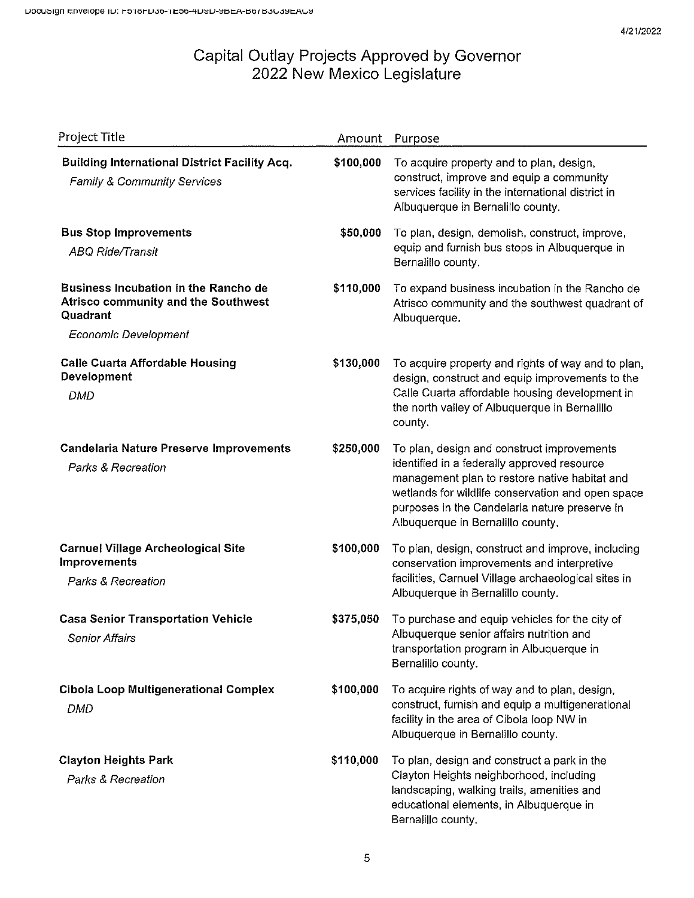| Project Title                                                                                     | Amount    | Purpose                                                                                                                                                                                                                                                                               |
|---------------------------------------------------------------------------------------------------|-----------|---------------------------------------------------------------------------------------------------------------------------------------------------------------------------------------------------------------------------------------------------------------------------------------|
| <b>Building International District Facility Acq.</b><br>Family & Community Services               | \$100,000 | To acquire property and to plan, design,<br>construct, improve and equip a community<br>services facility in the international district in<br>Albuquerque in Bernalillo county.                                                                                                       |
| <b>Bus Stop Improvements</b><br><b>ABQ Ride/Transit</b>                                           | \$50,000  | To plan, design, demolish, construct, improve,<br>equip and furnish bus stops in Albuquerque in<br>Bernalillo county.                                                                                                                                                                 |
| <b>Business Incubation in the Rancho de</b><br>Atrisco community and the Southwest<br>Quadrant    | \$110,000 | To expand business incubation in the Rancho de<br>Atrisco community and the southwest quadrant of<br>Albuquerque.                                                                                                                                                                     |
| <b>Economic Development</b>                                                                       |           |                                                                                                                                                                                                                                                                                       |
| <b>Calle Cuarta Affordable Housing</b><br>Development<br>DMD                                      | \$130,000 | To acquire property and rights of way and to plan,<br>design, construct and equip improvements to the<br>Calle Cuarta affordable housing development in<br>the north valley of Albuquerque in Bernalillo<br>county.                                                                   |
| <b>Candelaria Nature Preserve Improvements</b><br>Parks & Recreation                              | \$250,000 | To plan, design and construct improvements<br>identified in a federally approved resource<br>management plan to restore native habitat and<br>wetlands for wildlife conservation and open space<br>purposes in the Candelaria nature preserve in<br>Albuquerque in Bernalillo county. |
| <b>Carnuel Village Archeological Site</b><br><b>Improvements</b><br><b>Parks &amp; Recreation</b> | \$100,000 | To plan, design, construct and improve, including<br>conservation improvements and interpretive<br>facilities, Carnuel Village archaeological sites in<br>Albuquerque in Bernalillo county.                                                                                           |
| <b>Casa Senior Transportation Vehicle</b><br>Senior Affairs                                       | \$375,050 | To purchase and equip vehicles for the city of<br>Albuquerque senior affairs nutrition and<br>transportation program in Albuquerque in<br>Bernalillo county.                                                                                                                          |
| <b>Cibola Loop Multigenerational Complex</b><br><b>DMD</b>                                        | \$100,000 | To acquire rights of way and to plan, design,<br>construct, furnish and equip a multigenerational<br>facility in the area of Cibola loop NW in<br>Albuquerque in Bernalillo county.                                                                                                   |
| <b>Clayton Heights Park</b><br>Parks & Recreation                                                 | \$110,000 | To plan, design and construct a park in the<br>Clayton Heights neighborhood, including<br>landscaping, walking trails, amenities and<br>educational elements, in Albuquerque in<br>Bernalillo county.                                                                                 |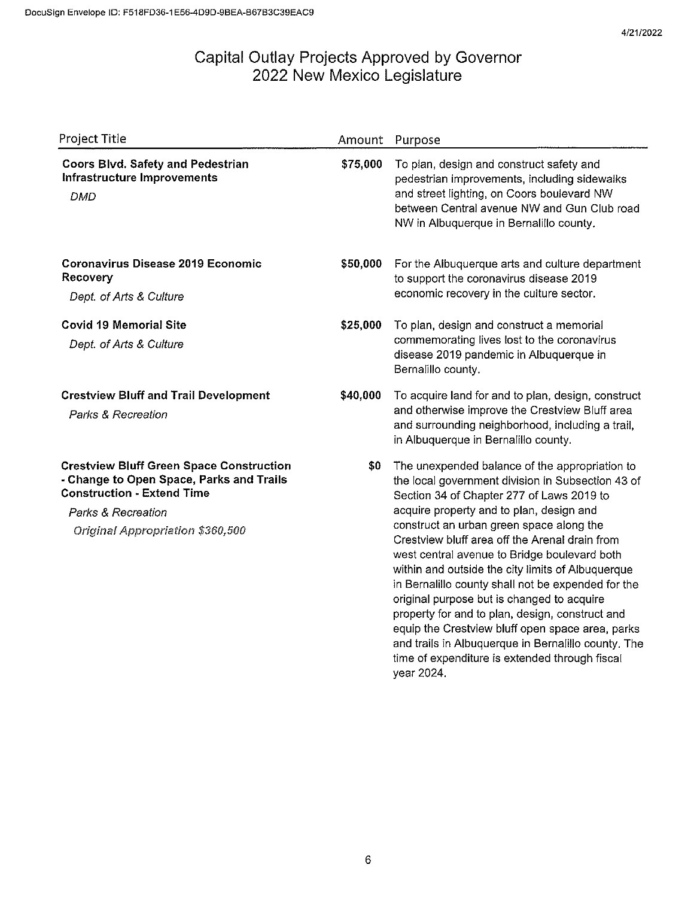| Project Title                                                                                                                                                                                     | Amount   | Purpose                                                                                                                                                                                                                                                                                                                                                                                                                                                                                                                                                                                                                                                                                                                           |
|---------------------------------------------------------------------------------------------------------------------------------------------------------------------------------------------------|----------|-----------------------------------------------------------------------------------------------------------------------------------------------------------------------------------------------------------------------------------------------------------------------------------------------------------------------------------------------------------------------------------------------------------------------------------------------------------------------------------------------------------------------------------------------------------------------------------------------------------------------------------------------------------------------------------------------------------------------------------|
| <b>Coors Blvd. Safety and Pedestrian</b><br><b>Infrastructure Improvements</b><br><b>DMD</b>                                                                                                      | \$75,000 | To plan, design and construct safety and<br>pedestrian improvements, including sidewalks<br>and street lighting, on Coors boulevard NW<br>between Central avenue NW and Gun Club road<br>NW in Albuquerque in Bernalillo county.                                                                                                                                                                                                                                                                                                                                                                                                                                                                                                  |
| <b>Coronavirus Disease 2019 Economic</b><br>Recovery<br>Dept. of Arts & Culture                                                                                                                   | \$50,000 | For the Albuquerque arts and culture department<br>to support the coronavirus disease 2019<br>economic recovery in the culture sector.                                                                                                                                                                                                                                                                                                                                                                                                                                                                                                                                                                                            |
| <b>Covid 19 Memorial Site</b><br>Dept. of Arts & Culture                                                                                                                                          | \$25,000 | To plan, design and construct a memorial<br>commemorating lives lost to the coronavirus<br>disease 2019 pandemic in Albuquerque in<br>Bernalillo county.                                                                                                                                                                                                                                                                                                                                                                                                                                                                                                                                                                          |
| <b>Crestview Bluff and Trail Development</b><br>Parks & Recreation                                                                                                                                | \$40,000 | To acquire land for and to plan, design, construct<br>and otherwise improve the Crestview Bluff area<br>and surrounding neighborhood, including a trail,<br>in Albuquerque in Bernalillo county.                                                                                                                                                                                                                                                                                                                                                                                                                                                                                                                                  |
| <b>Crestview Bluff Green Space Construction</b><br>- Change to Open Space, Parks and Trails<br><b>Construction - Extend Time</b><br>Parks & Recreation<br><b>Original Appropriation \$360,500</b> | \$0      | The unexpended balance of the appropriation to<br>the local government division in Subsection 43 of<br>Section 34 of Chapter 277 of Laws 2019 to<br>acquire property and to plan, design and<br>construct an urban green space along the<br>Crestview bluff area off the Arenal drain from<br>west central avenue to Bridge boulevard both<br>within and outside the city limits of Albuquerque<br>in Bernalillo county shall not be expended for the<br>original purpose but is changed to acquire<br>property for and to plan, design, construct and<br>equip the Crestview bluff open space area, parks<br>and trails in Albuquerque in Bernalillo county. The<br>time of expenditure is extended through fiscal<br>year 2024. |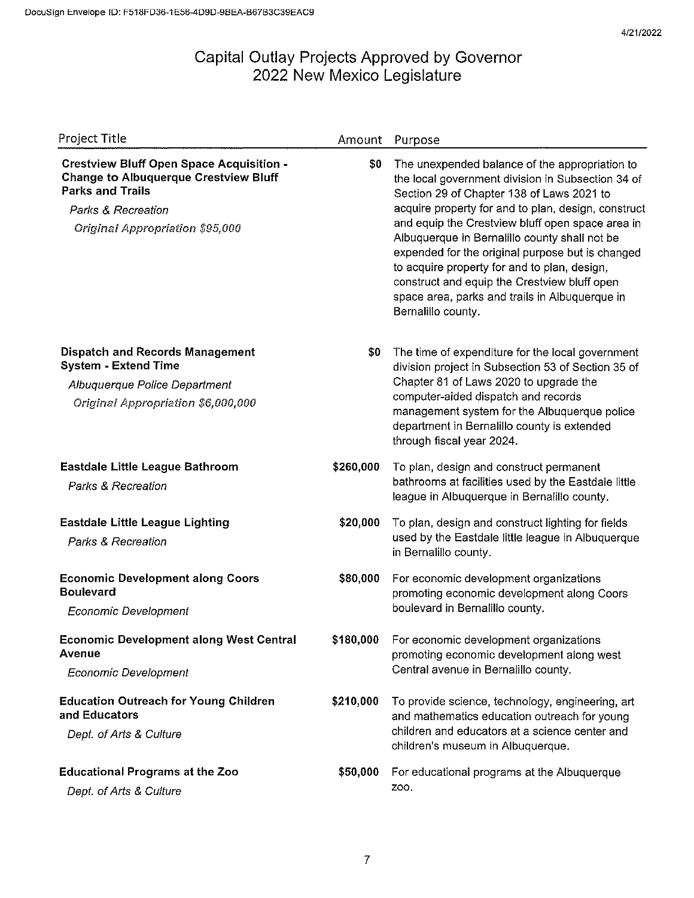| Project Title                                                                                                                                                                              | Amount    | Purpose                                                                                                                                                                                                                                                                                                                                                                                                                                                                                                                                  |
|--------------------------------------------------------------------------------------------------------------------------------------------------------------------------------------------|-----------|------------------------------------------------------------------------------------------------------------------------------------------------------------------------------------------------------------------------------------------------------------------------------------------------------------------------------------------------------------------------------------------------------------------------------------------------------------------------------------------------------------------------------------------|
| <b>Crestview Bluff Open Space Acquisition -</b><br><b>Change to Albuquerque Crestview Bluff</b><br><b>Parks and Trails</b><br>Parks & Recreation<br><b>Original Appropriation \$95,000</b> | \$0       | The unexpended balance of the appropriation to<br>the local government division in Subsection 34 of<br>Section 29 of Chapter 138 of Laws 2021 to<br>acquire property for and to plan, design, construct<br>and equip the Crestview bluff open space area in<br>Albuquerque in Bernalillo county shall not be<br>expended for the original purpose but is changed<br>to acquire property for and to plan, design,<br>construct and equip the Crestview bluff open<br>space area, parks and trails in Albuquerque in<br>Bernalillo county. |
| <b>Dispatch and Records Management</b><br><b>System - Extend Time</b><br>Albuquerque Police Department<br>Original Appropriation \$6,000,000                                               | \$0       | The time of expenditure for the local government<br>division project in Subsection 53 of Section 35 of<br>Chapter 81 of Laws 2020 to upgrade the<br>computer-aided dispatch and records<br>management system for the Albuquerque police<br>department in Bernalillo county is extended<br>through fiscal year 2024.                                                                                                                                                                                                                      |
| <b>Eastdale Little League Bathroom</b><br>Parks & Recreation                                                                                                                               | \$260,000 | To plan, design and construct permanent<br>bathrooms at facilities used by the Eastdale little<br>league in Albuquerque in Bernalillo county.                                                                                                                                                                                                                                                                                                                                                                                            |
| <b>Eastdale Little League Lighting</b><br>Parks & Recreation                                                                                                                               | \$20,000  | To plan, design and construct lighting for fields<br>used by the Eastdale little league in Albuquerque<br>in Bernalillo county.                                                                                                                                                                                                                                                                                                                                                                                                          |
| <b>Economic Development along Coors</b><br><b>Boulevard</b><br><b>Economic Development</b>                                                                                                 | \$80,000  | For economic development organizations<br>promoting economic development along Coors<br>boulevard in Bernalillo county.                                                                                                                                                                                                                                                                                                                                                                                                                  |
| <b>Economic Development along West Central</b><br>Avenue<br><b>Economic Development</b>                                                                                                    | \$180,000 | For economic development organizations<br>promoting economic development along west<br>Central avenue in Bernalillo county.                                                                                                                                                                                                                                                                                                                                                                                                              |
| <b>Education Outreach for Young Children</b><br>and Educators<br>Dept. of Arts & Culture                                                                                                   | \$210,000 | To provide science, technology, engineering, art<br>and mathematics education outreach for young<br>children and educators at a science center and<br>children's museum in Albuquerque.                                                                                                                                                                                                                                                                                                                                                  |
| <b>Educational Programs at the Zoo</b><br>Dept. of Arts & Culture                                                                                                                          | \$50,000  | For educational programs at the Albuquerque<br>Z00.                                                                                                                                                                                                                                                                                                                                                                                                                                                                                      |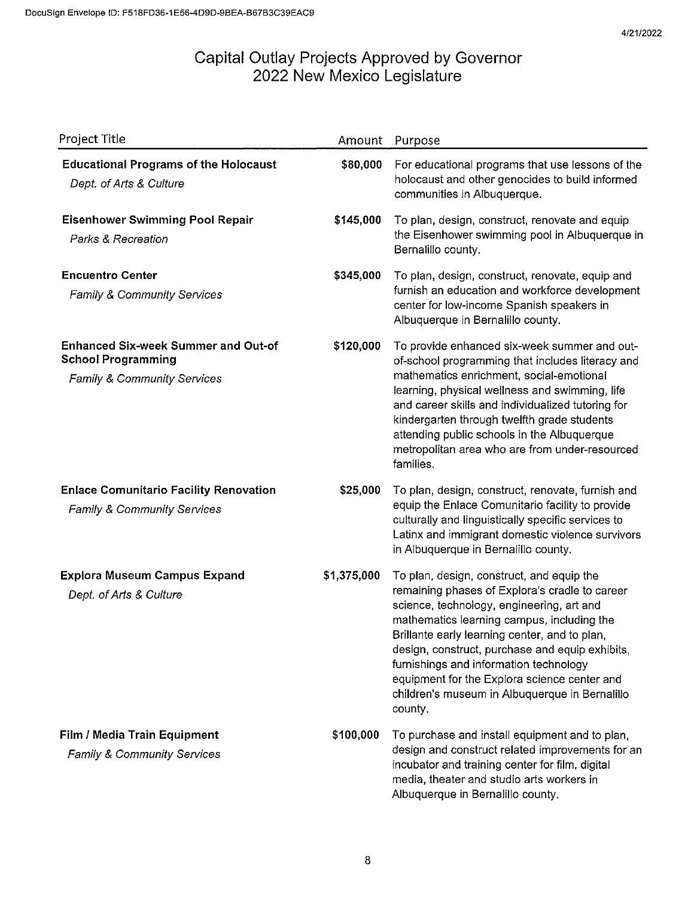| Project Title                                                                                          | Amount      | Purpose                                                                                                                                                                                                                                                                                                                                                                                                                                           |
|--------------------------------------------------------------------------------------------------------|-------------|---------------------------------------------------------------------------------------------------------------------------------------------------------------------------------------------------------------------------------------------------------------------------------------------------------------------------------------------------------------------------------------------------------------------------------------------------|
| <b>Educational Programs of the Holocaust</b><br>Dept. of Arts & Culture                                | \$80,000    | For educational programs that use lessons of the<br>holocaust and other genocides to build informed<br>communities in Albuquerque.                                                                                                                                                                                                                                                                                                                |
| <b>Eisenhower Swimming Pool Repair</b><br>Parks & Recreation                                           | \$145,000   | To plan, design, construct, renovate and equip<br>the Eisenhower swimming pool in Albuquerque in<br>Bernalillo county.                                                                                                                                                                                                                                                                                                                            |
| <b>Encuentro Center</b><br><b>Family &amp; Community Services</b>                                      | \$345,000   | To plan, design, construct, renovate, equip and<br>furnish an education and workforce development<br>center for low-income Spanish speakers in<br>Albuquerque in Bernalillo county.                                                                                                                                                                                                                                                               |
| <b>Enhanced Six-week Summer and Out-of</b><br><b>School Programming</b><br>Family & Community Services | \$120,000   | To provide enhanced six-week summer and out-<br>of-school programming that includes literacy and<br>mathematics enrichment, social-emotional<br>learning, physical wellness and swimming, life<br>and career skills and individualized tutoring for<br>kindergarten through twelfth grade students<br>attending public schools in the Albuquerque<br>metropolitan area who are from under-resourced<br>families.                                  |
| <b>Enlace Comunitario Facility Renovation</b><br><b>Family &amp; Community Services</b>                | \$25,000    | To plan, design, construct, renovate, furnish and<br>equip the Enlace Comunitario facility to provide<br>culturally and linguistically specific services to<br>Latinx and immigrant domestic violence survivors<br>in Albuquerque in Bernalillo county.                                                                                                                                                                                           |
| <b>Explora Museum Campus Expand</b><br>Dept. of Arts & Culture                                         | \$1,375,000 | To plan, design, construct, and equip the<br>remaining phases of Explora's cradle to career<br>science, technology, engineering, art and<br>mathematics learning campus, including the<br>Brillante early learning center, and to plan,<br>design, construct, purchase and equip exhibits,<br>furnishings and information technology<br>equipment for the Explora science center and<br>children's museum in Albuquerque in Bernalillo<br>county. |
| Film / Media Train Equipment<br><b>Family &amp; Community Services</b>                                 | \$100,000   | To purchase and install equipment and to plan,<br>design and construct related improvements for an<br>incubator and training center for film, digital<br>media, theater and studio arts workers in<br>Albuquerque in Bernalillo county.                                                                                                                                                                                                           |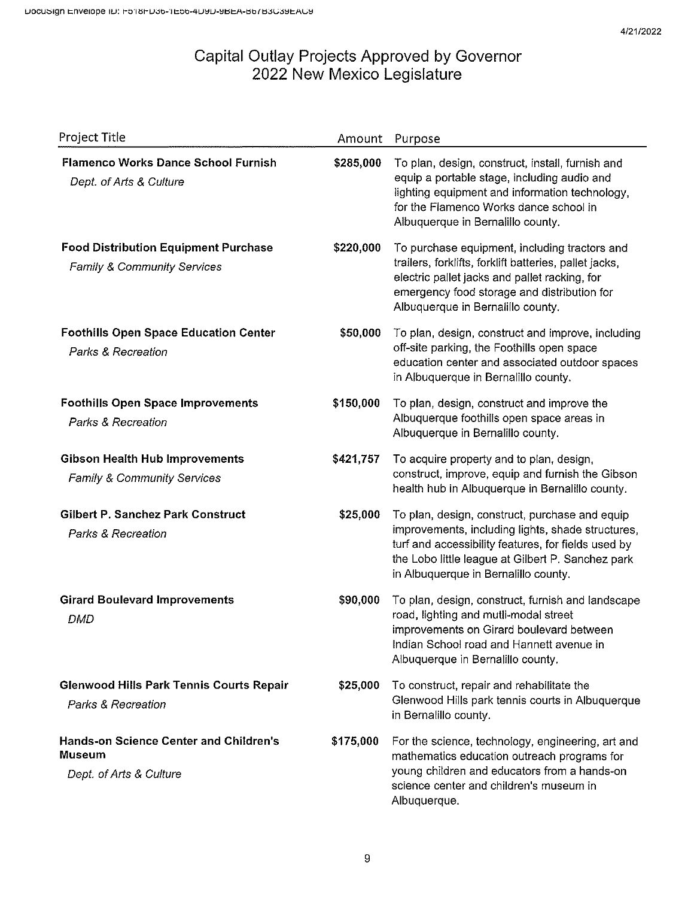| Project Title                                                                             | Amount    | Purpose                                                                                                                                                                                                                                                 |
|-------------------------------------------------------------------------------------------|-----------|---------------------------------------------------------------------------------------------------------------------------------------------------------------------------------------------------------------------------------------------------------|
| <b>Flamenco Works Dance School Furnish</b><br>Dept. of Arts & Culture                     | \$285,000 | To plan, design, construct, install, furnish and<br>equip a portable stage, including audio and<br>lighting equipment and information technology,<br>for the Flamenco Works dance school in<br>Albuquerque in Bernalillo county.                        |
| <b>Food Distribution Equipment Purchase</b><br><b>Family &amp; Community Services</b>     | \$220,000 | To purchase equipment, including tractors and<br>trailers, forklifts, forklift batteries, pallet jacks,<br>electric pallet jacks and pallet racking, for<br>emergency food storage and distribution for<br>Albuquerque in Bernalillo county.            |
| <b>Foothills Open Space Education Center</b><br>Parks & Recreation                        | \$50,000  | To plan, design, construct and improve, including<br>off-site parking, the Foothills open space<br>education center and associated outdoor spaces<br>in Albuquerque in Bernalillo county.                                                               |
| <b>Foothills Open Space Improvements</b><br>Parks & Recreation                            | \$150,000 | To plan, design, construct and improve the<br>Albuquerque foothills open space areas in<br>Albuquerque in Bernalillo county.                                                                                                                            |
| <b>Gibson Health Hub Improvements</b><br><b>Family &amp; Community Services</b>           | \$421,757 | To acquire property and to plan, design,<br>construct, improve, equip and furnish the Gibson<br>health hub in Albuquerque in Bernalillo county.                                                                                                         |
| Gilbert P. Sanchez Park Construct<br>Parks & Recreation                                   | \$25,000  | To plan, design, construct, purchase and equip<br>improvements, including lights, shade structures,<br>turf and accessibility features, for fields used by<br>the Lobo little league at Gilbert P. Sanchez park<br>in Albuquerque in Bernalillo county. |
| <b>Girard Boulevard Improvements</b><br>DMD                                               | \$90,000  | To plan, design, construct, furnish and landscape<br>road, lighting and mutli-modal street<br>improvements on Girard boulevard between<br>Indian School road and Hannett avenue in<br>Albuquerque in Bernalillo county.                                 |
| <b>Glenwood Hills Park Tennis Courts Repair</b><br>Parks & Recreation                     | \$25,000  | To construct, repair and rehabilitate the<br>Glenwood Hills park tennis courts in Albuquerque<br>in Bernalillo county.                                                                                                                                  |
| <b>Hands-on Science Center and Children's</b><br><b>Museum</b><br>Dept. of Arts & Culture | \$175,000 | For the science, technology, engineering, art and<br>mathematics education outreach programs for<br>young children and educators from a hands-on<br>science center and children's museum in<br>Albuquerque.                                             |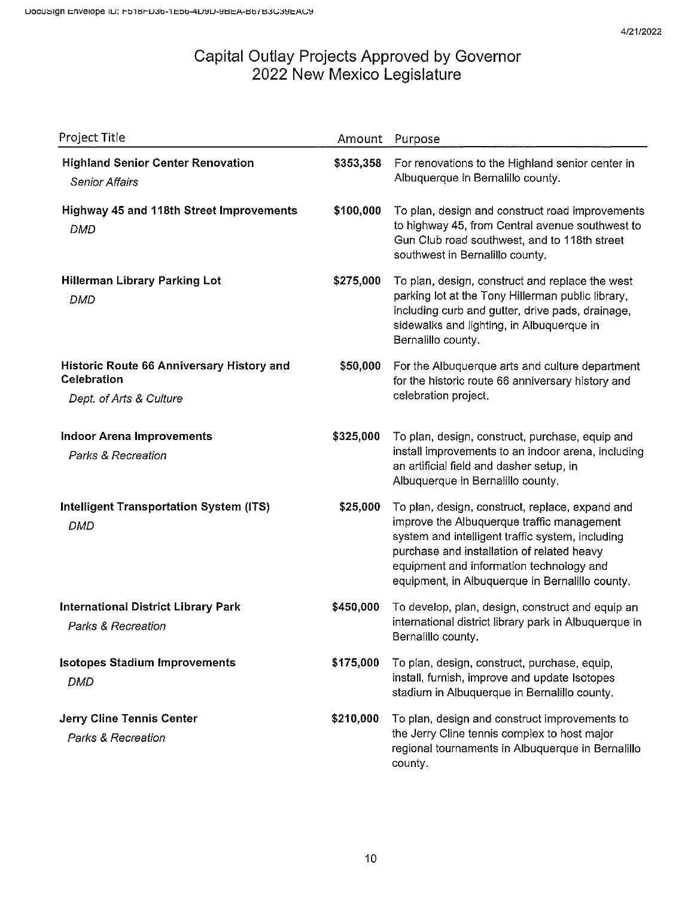| Project Title                                                                              | Amount    | Purpose                                                                                                                                                                                                                                                                                        |
|--------------------------------------------------------------------------------------------|-----------|------------------------------------------------------------------------------------------------------------------------------------------------------------------------------------------------------------------------------------------------------------------------------------------------|
| <b>Highland Senior Center Renovation</b><br><b>Senior Affairs</b>                          | \$353,358 | For renovations to the Highland senior center in<br>Albuquerque in Bernalillo county.                                                                                                                                                                                                          |
| Highway 45 and 118th Street Improvements<br><b>DMD</b>                                     | \$100,000 | To plan, design and construct road improvements<br>to highway 45, from Central avenue southwest to<br>Gun Club road southwest, and to 118th street<br>southwest in Bernalillo county.                                                                                                          |
| <b>Hillerman Library Parking Lot</b><br><b>DMD</b>                                         | \$275,000 | To plan, design, construct and replace the west<br>parking lot at the Tony Hillerman public library,<br>including curb and gutter, drive pads, drainage,<br>sidewalks and lighting, in Albuquerque in<br>Bernalillo county.                                                                    |
| Historic Route 66 Anniversary History and<br><b>Celebration</b><br>Dept. of Arts & Culture | \$50,000  | For the Albuquerque arts and culture department<br>for the historic route 66 anniversary history and<br>celebration project.                                                                                                                                                                   |
| <b>Indoor Arena Improvements</b><br>Parks & Recreation                                     | \$325,000 | To plan, design, construct, purchase, equip and<br>install improvements to an indoor arena, including<br>an artificial field and dasher setup, in<br>Albuquerque in Bernalillo county.                                                                                                         |
| <b>Intelligent Transportation System (ITS)</b><br><b>DMD</b>                               | \$25,000  | To plan, design, construct, replace, expand and<br>improve the Albuquerque traffic management<br>system and intelligent traffic system, including<br>purchase and installation of related heavy<br>equipment and information technology and<br>equipment, in Albuquerque in Bernalillo county. |
| <b>International District Library Park</b><br>Parks & Recreation                           | \$450,000 | To develop, plan, design, construct and equip an<br>international district library park in Albuquerque in<br>Bernalillo county.                                                                                                                                                                |
| <b>Isotopes Stadium Improvements</b><br><b>DMD</b>                                         | \$175,000 | To plan, design, construct, purchase, equip,<br>install, furnish, improve and update Isotopes<br>stadium in Albuquerque in Bernalillo county.                                                                                                                                                  |
| <b>Jerry Cline Tennis Center</b><br><b>Parks &amp; Recreation</b>                          | \$210,000 | To plan, design and construct improvements to<br>the Jerry Cline tennis complex to host major<br>regional tournaments in Albuquerque in Bernalillo<br>county.                                                                                                                                  |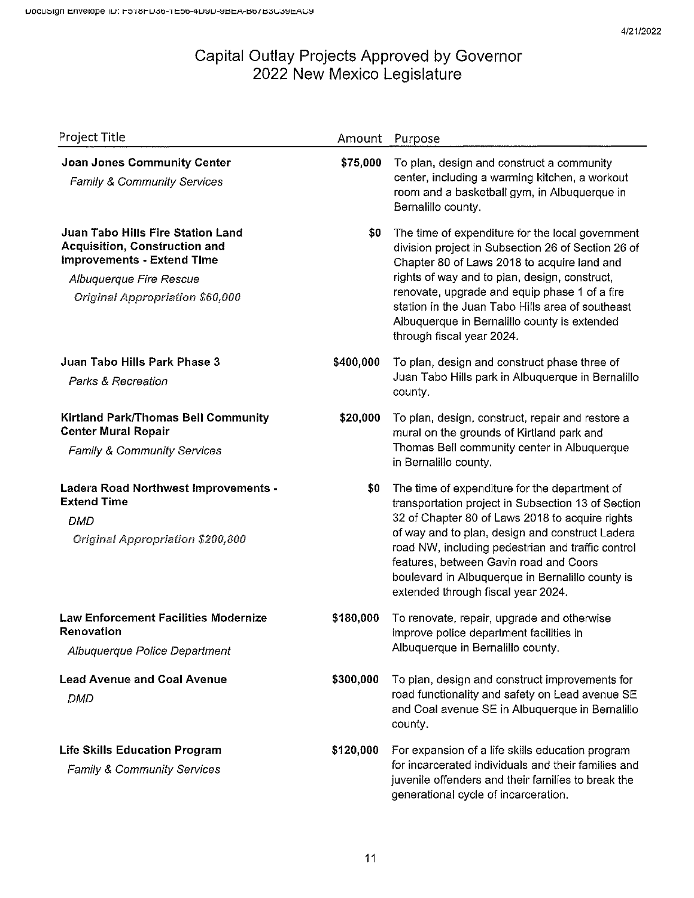| Project Title                                                                                                                                                                       | Amount    | Purpose                                                                                                                                                                                                                                                                                                                                                                                            |
|-------------------------------------------------------------------------------------------------------------------------------------------------------------------------------------|-----------|----------------------------------------------------------------------------------------------------------------------------------------------------------------------------------------------------------------------------------------------------------------------------------------------------------------------------------------------------------------------------------------------------|
| <b>Joan Jones Community Center</b><br><b>Family &amp; Community Services</b>                                                                                                        | \$75,000  | To plan, design and construct a community<br>center, including a warming kitchen, a workout<br>room and a basketball gym, in Albuquerque in<br>Bernalillo county.                                                                                                                                                                                                                                  |
| Juan Tabo Hills Fire Station Land<br><b>Acquisition, Construction and</b><br><b>Improvements - Extend Time</b><br>Albuquerque Fire Rescue<br><b>Original Appropriation \$60,000</b> | \$0       | The time of expenditure for the local government<br>division project in Subsection 26 of Section 26 of<br>Chapter 80 of Laws 2018 to acquire land and<br>rights of way and to plan, design, construct,<br>renovate, upgrade and equip phase 1 of a fire<br>station in the Juan Tabo Hills area of southeast<br>Albuquerque in Bernalillo county is extended<br>through fiscal year 2024.           |
| Juan Tabo Hills Park Phase 3<br>Parks & Recreation                                                                                                                                  | \$400,000 | To plan, design and construct phase three of<br>Juan Tabo Hills park in Albuguerque in Bernalillo<br>county.                                                                                                                                                                                                                                                                                       |
| <b>Kirtland Park/Thomas Bell Community</b><br><b>Center Mural Repair</b><br><b>Family &amp; Community Services</b>                                                                  | \$20,000  | To plan, design, construct, repair and restore a<br>mural on the grounds of Kirtland park and<br>Thomas Bell community center in Albuquerque<br>in Bernalillo county.                                                                                                                                                                                                                              |
| <b>Ladera Road Northwest Improvements -</b><br><b>Extend Time</b><br>DMD<br>Original Appropriation \$200,800                                                                        | \$0       | The time of expenditure for the department of<br>transportation project in Subsection 13 of Section<br>32 of Chapter 80 of Laws 2018 to acquire rights<br>of way and to plan, design and construct Ladera<br>road NW, including pedestrian and traffic control<br>features, between Gavin road and Coors<br>boulevard in Albuquerque in Bernalillo county is<br>extended through fiscal year 2024. |
| <b>Law Enforcement Facilities Modernize</b><br><b>Renovation</b><br>Albuquerque Police Department                                                                                   | \$180,000 | To renovate, repair, upgrade and otherwise<br>improve police department facilities in<br>Albuquerque in Bernalillo county.                                                                                                                                                                                                                                                                         |
| <b>Lead Avenue and Coal Avenue</b><br>DMD                                                                                                                                           | \$300,000 | To plan, design and construct improvements for<br>road functionality and safety on Lead avenue SE<br>and Coal avenue SE in Albuquerque in Bernalillo<br>county.                                                                                                                                                                                                                                    |
| <b>Life Skills Education Program</b><br>Family & Community Services                                                                                                                 | \$120,000 | For expansion of a life skills education program<br>for incarcerated individuals and their families and<br>juvenile offenders and their families to break the<br>generational cycle of incarceration.                                                                                                                                                                                              |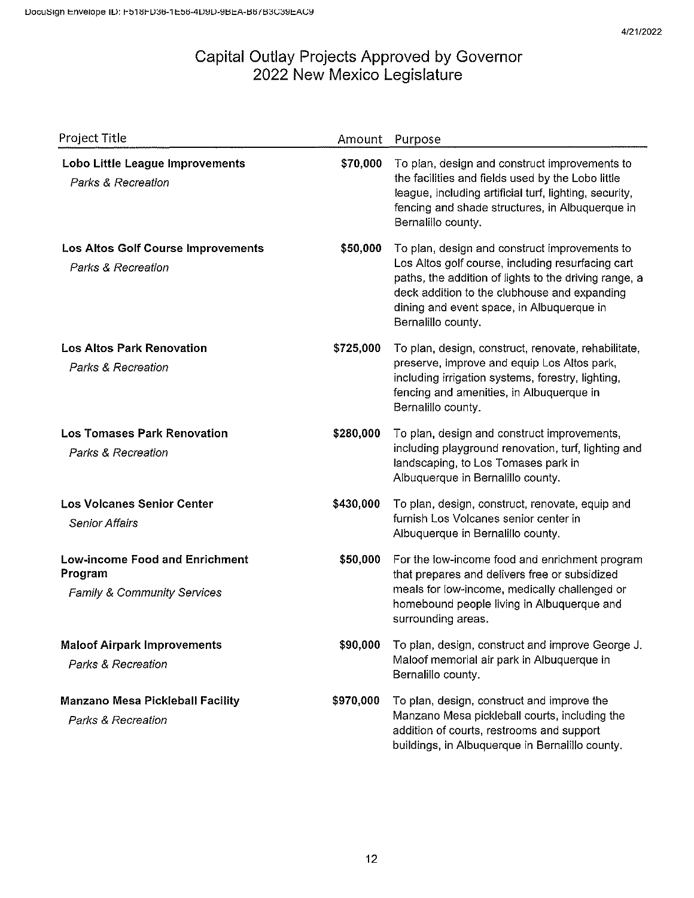| Project Title                                                                              | Amount    | Purpose                                                                                                                                                                                                                                                                        |
|--------------------------------------------------------------------------------------------|-----------|--------------------------------------------------------------------------------------------------------------------------------------------------------------------------------------------------------------------------------------------------------------------------------|
| Lobo Little League Improvements<br>Parks & Recreation                                      | \$70,000  | To plan, design and construct improvements to<br>the facilities and fields used by the Lobo little<br>league, including artificial turf, lighting, security,<br>fencing and shade structures, in Albuquerque in<br>Bernalillo county.                                          |
| <b>Los Altos Golf Course Improvements</b><br>Parks & Recreation                            | \$50,000  | To plan, design and construct improvements to<br>Los Altos golf course, including resurfacing cart<br>paths, the addition of lights to the driving range, a<br>deck addition to the clubhouse and expanding<br>dining and event space, in Albuquerque in<br>Bernalillo county. |
| <b>Los Altos Park Renovation</b><br><b>Parks &amp; Recreation</b>                          | \$725,000 | To plan, design, construct, renovate, rehabilitate,<br>preserve, improve and equip Los Altos park,<br>including irrigation systems, forestry, lighting,<br>fencing and amenities, in Albuquerque in<br>Bernalillo county.                                                      |
| <b>Los Tomases Park Renovation</b><br>Parks & Recreation                                   | \$280,000 | To plan, design and construct improvements,<br>including playground renovation, turf, lighting and<br>landscaping, to Los Tomases park in<br>Albuquerque in Bernalillo county.                                                                                                 |
| <b>Los Volcanes Senior Center</b><br><b>Senior Affairs</b>                                 | \$430,000 | To plan, design, construct, renovate, equip and<br>furnish Los Volcanes senior center in<br>Albuquerque in Bernalillo county.                                                                                                                                                  |
| <b>Low-income Food and Enrichment</b><br>Program<br><b>Family &amp; Community Services</b> | \$50,000  | For the low-income food and enrichment program<br>that prepares and delivers free or subsidized<br>meals for low-income, medically challenged or<br>homebound people living in Albuquerque and<br>surrounding areas.                                                           |
| <b>Maloof Airpark Improvements</b><br>Parks & Recreation                                   | \$90,000  | To plan, design, construct and improve George J.<br>Maloof memorial air park in Albuquerque in<br>Bernalillo county.                                                                                                                                                           |
| <b>Manzano Mesa Pickleball Facility</b><br>Parks & Recreation                              | \$970,000 | To plan, design, construct and improve the<br>Manzano Mesa pickleball courts, including the<br>addition of courts, restrooms and support<br>buildings, in Albuquerque in Bernalillo county.                                                                                    |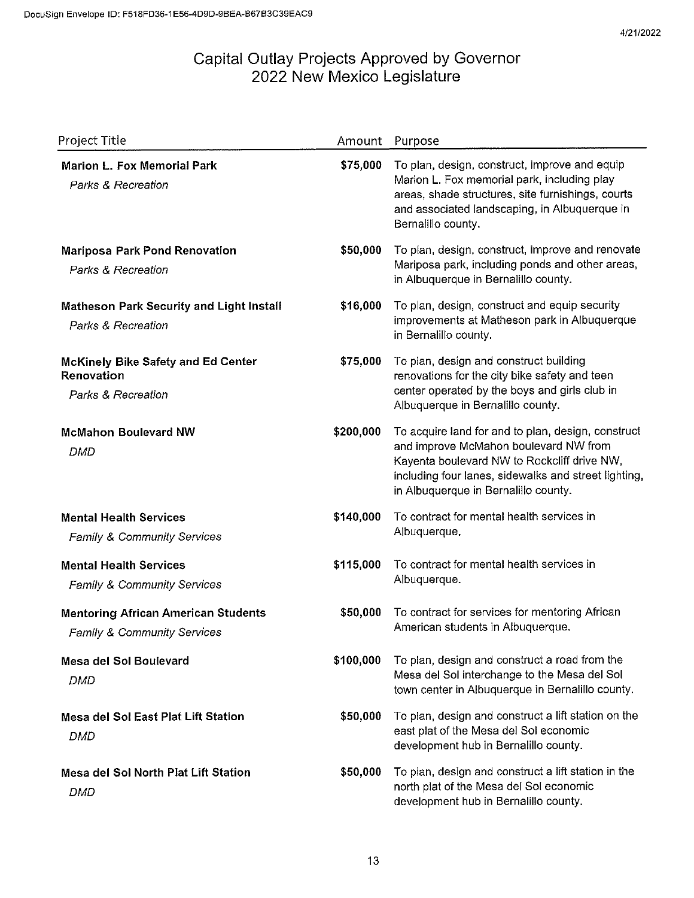| Project Title                                                                 | Amount    | Purpose                                                                                                                                                                                                                                    |
|-------------------------------------------------------------------------------|-----------|--------------------------------------------------------------------------------------------------------------------------------------------------------------------------------------------------------------------------------------------|
| <b>Marion L. Fox Memorial Park</b><br><b>Parks &amp; Recreation</b>           | \$75,000  | To plan, design, construct, improve and equip<br>Marion L. Fox memorial park, including play<br>areas, shade structures, site furnishings, courts<br>and associated landscaping, in Albuquerque in<br>Bernalillo county.                   |
| Mariposa Park Pond Renovation<br>Parks & Recreation                           | \$50,000  | To plan, design, construct, improve and renovate<br>Mariposa park, including ponds and other areas,<br>in Albuquerque in Bernalillo county.                                                                                                |
| <b>Matheson Park Security and Light Install</b><br>Parks & Recreation         | \$16,000  | To plan, design, construct and equip security<br>improvements at Matheson park in Albuquerque<br>in Bernalillo county.                                                                                                                     |
| <b>McKinely Bike Safety and Ed Center</b><br>Renovation<br>Parks & Recreation | \$75,000  | To plan, design and construct building<br>renovations for the city bike safety and teen<br>center operated by the boys and girls club in<br>Albuquerque in Bernalillo county.                                                              |
| <b>McMahon Boulevard NW</b><br><b>DMD</b>                                     | \$200,000 | To acquire land for and to plan, design, construct<br>and improve McMahon boulevard NW from<br>Kayenta boulevard NW to Rockcliff drive NW,<br>including four lanes, sidewalks and street lighting,<br>in Albuquerque in Bernalillo county. |
| <b>Mental Health Services</b><br><b>Family &amp; Community Services</b>       | \$140,000 | To contract for mental health services in<br>Albuquerque.                                                                                                                                                                                  |
| <b>Mental Health Services</b><br><b>Family &amp; Community Services</b>       | \$115,000 | To contract for mental health services in<br>Albuquerque.                                                                                                                                                                                  |
| <b>Mentoring African American Students</b><br>Family & Community Services     | \$50,000  | To contract for services for mentoring African<br>American students in Albuquerque.                                                                                                                                                        |
| Mesa del Sol Boulevard<br>DMD                                                 | \$100,000 | To plan, design and construct a road from the<br>Mesa del Sol interchange to the Mesa del Sol<br>town center in Albuquerque in Bernalillo county.                                                                                          |
| Mesa del Sol East Plat Lift Station<br>DMD                                    | \$50,000  | To plan, design and construct a lift station on the<br>east plat of the Mesa del Sol economic<br>development hub in Bernalillo county.                                                                                                     |
| Mesa del Sol North Plat Lift Station<br><b>DMD</b>                            | \$50,000  | To plan, design and construct a lift station in the<br>north plat of the Mesa del Sol economic<br>development hub in Bernalillo county.                                                                                                    |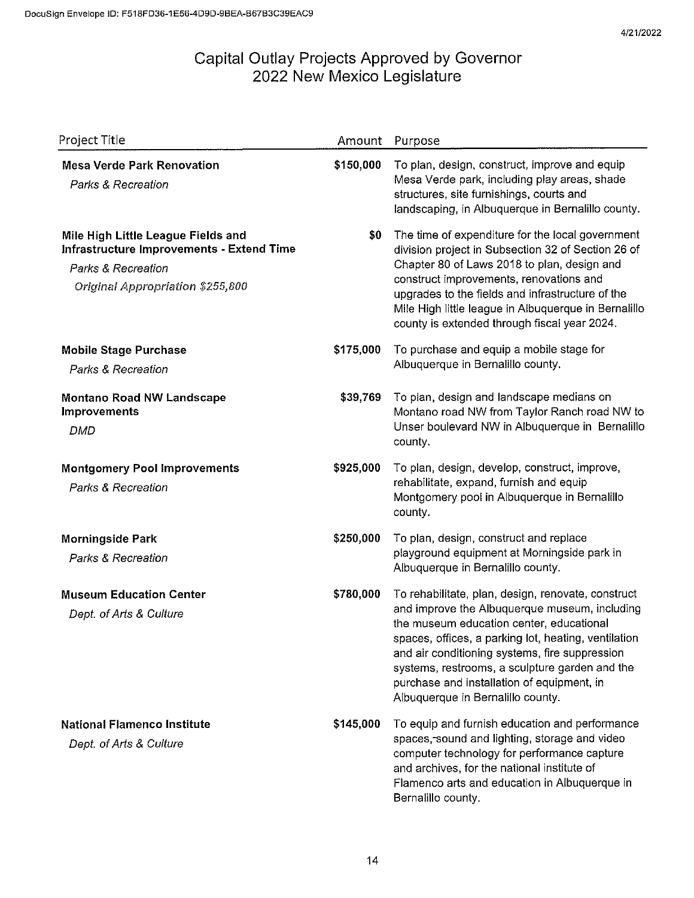| Project Title                                                                                                                                               | Amount    | Purpose                                                                                                                                                                                                                                                                                                                                                                                        |
|-------------------------------------------------------------------------------------------------------------------------------------------------------------|-----------|------------------------------------------------------------------------------------------------------------------------------------------------------------------------------------------------------------------------------------------------------------------------------------------------------------------------------------------------------------------------------------------------|
| <b>Mesa Verde Park Renovation</b><br><b>Parks &amp; Recreation</b>                                                                                          | \$150,000 | To plan, design, construct, improve and equip<br>Mesa Verde park, including play areas, shade<br>structures, site furnishings, courts and<br>landscaping, in Albuquerque in Bernalillo county.                                                                                                                                                                                                 |
| Mile High Little League Fields and<br>Infrastructure Improvements - Extend Time<br><b>Parks &amp; Recreation</b><br><b>Original Appropriation \$255,800</b> | \$0       | The time of expenditure for the local government<br>division project in Subsection 32 of Section 26 of<br>Chapter 80 of Laws 2018 to plan, design and<br>construct improvements, renovations and<br>upgrades to the fields and infrastructure of the<br>Mile High little league in Albuquerque in Bernalillo<br>county is extended through fiscal year 2024.                                   |
| <b>Mobile Stage Purchase</b><br><b>Parks &amp; Recreation</b>                                                                                               | \$175,000 | To purchase and equip a mobile stage for<br>Albuquerque in Bernalillo county.                                                                                                                                                                                                                                                                                                                  |
| <b>Montano Road NW Landscape</b><br><b>Improvements</b><br>DMD                                                                                              | \$39,769  | To plan, design and landscape medians on<br>Montano road NW from Taylor Ranch road NW to<br>Unser boulevard NW in Albuquerque in Bernalillo<br>county.                                                                                                                                                                                                                                         |
| <b>Montgomery Pool Improvements</b><br>Parks & Recreation                                                                                                   | \$925,000 | To plan, design, develop, construct, improve,<br>rehabilitate, expand, furnish and equip<br>Montgomery pool in Albuquerque in Bernalillo<br>county.                                                                                                                                                                                                                                            |
| <b>Morningside Park</b><br>Parks & Recreation                                                                                                               | \$250,000 | To plan, design, construct and replace<br>playground equipment at Morningside park in<br>Albuquerque in Bernalillo county.                                                                                                                                                                                                                                                                     |
| <b>Museum Education Center</b><br>Dept. of Arts & Culture                                                                                                   | \$780,000 | To rehabilitate, plan, design, renovate, construct<br>and improve the Albuquerque museum, including<br>the museum education center, educational<br>spaces, offices, a parking lot, heating, ventilation<br>and air conditioning systems, fire suppression<br>systems, restrooms, a sculpture garden and the<br>purchase and installation of equipment, in<br>Albuquerque in Bernalillo county. |
| <b>National Flamenco Institute</b><br>Dept. of Arts & Culture                                                                                               | \$145,000 | To equip and furnish education and performance<br>spaces, sound and lighting, storage and video<br>computer technology for performance capture<br>and archives, for the national institute of<br>Flamenco arts and education in Albuquerque in<br>Bernalillo county.                                                                                                                           |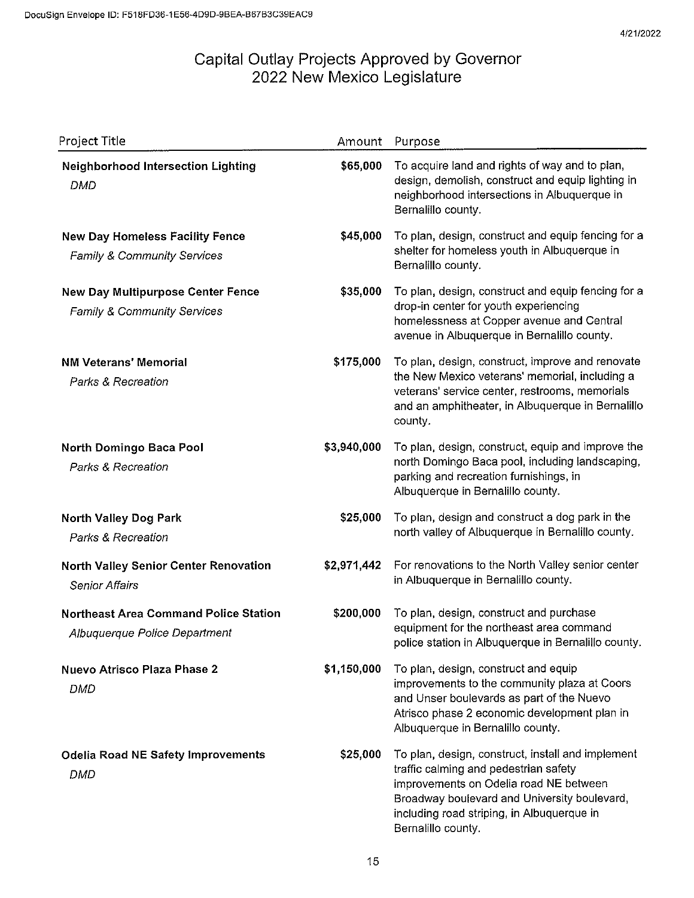| Project Title                                                                    | Amount      | Purpose                                                                                                                                                                                                                                                  |
|----------------------------------------------------------------------------------|-------------|----------------------------------------------------------------------------------------------------------------------------------------------------------------------------------------------------------------------------------------------------------|
| <b>Neighborhood Intersection Lighting</b><br><b>DMD</b>                          | \$65,000    | To acquire land and rights of way and to plan,<br>design, demolish, construct and equip lighting in<br>neighborhood intersections in Albuquerque in<br>Bernalillo county.                                                                                |
| <b>New Day Homeless Facility Fence</b><br><b>Family &amp; Community Services</b> | \$45,000    | To plan, design, construct and equip fencing for a<br>shelter for homeless youth in Albuquerque in<br>Bernalillo county.                                                                                                                                 |
| <b>New Day Multipurpose Center Fence</b><br>Family & Community Services          | \$35,000    | To plan, design, construct and equip fencing for a<br>drop-in center for youth experiencing<br>homelessness at Copper avenue and Central<br>avenue in Albuquerque in Bernalillo county.                                                                  |
| <b>NM Veterans' Memorial</b><br>Parks & Recreation                               | \$175,000   | To plan, design, construct, improve and renovate<br>the New Mexico veterans' memorial, including a<br>veterans' service center, restrooms, memorials<br>and an amphitheater, in Albuquerque in Bernalillo<br>county.                                     |
| North Domingo Baca Pool<br><b>Parks &amp; Recreation</b>                         | \$3,940,000 | To plan, design, construct, equip and improve the<br>north Domingo Baca pool, including landscaping,<br>parking and recreation furnishings, in<br>Albuquerque in Bernalillo county.                                                                      |
| <b>North Valley Dog Park</b><br>Parks & Recreation                               | \$25,000    | To plan, design and construct a dog park in the<br>north valley of Albuquerque in Bernalillo county.                                                                                                                                                     |
| North Valley Senior Center Renovation<br><b>Senior Affairs</b>                   | \$2,971,442 | For renovations to the North Valley senior center<br>in Albuquerque in Bernalillo county.                                                                                                                                                                |
| <b>Northeast Area Command Police Station</b><br>Albuquerque Police Department    | \$200,000   | To plan, design, construct and purchase<br>equipment for the northeast area command<br>police station in Albuquerque in Bernalillo county.                                                                                                               |
| Nuevo Atrisco Plaza Phase 2<br>DMD                                               | \$1,150,000 | To plan, design, construct and equip<br>improvements to the community plaza at Coors<br>and Unser boulevards as part of the Nuevo<br>Atrisco phase 2 economic development plan in<br>Albuquerque in Bernalillo county.                                   |
| <b>Odelia Road NE Safety Improvements</b><br>DMD                                 | \$25,000    | To plan, design, construct, install and implement<br>traffic calming and pedestrian safety<br>improvements on Odelia road NE between<br>Broadway boulevard and University boulevard,<br>including road striping, in Albuquerque in<br>Bernalillo county. |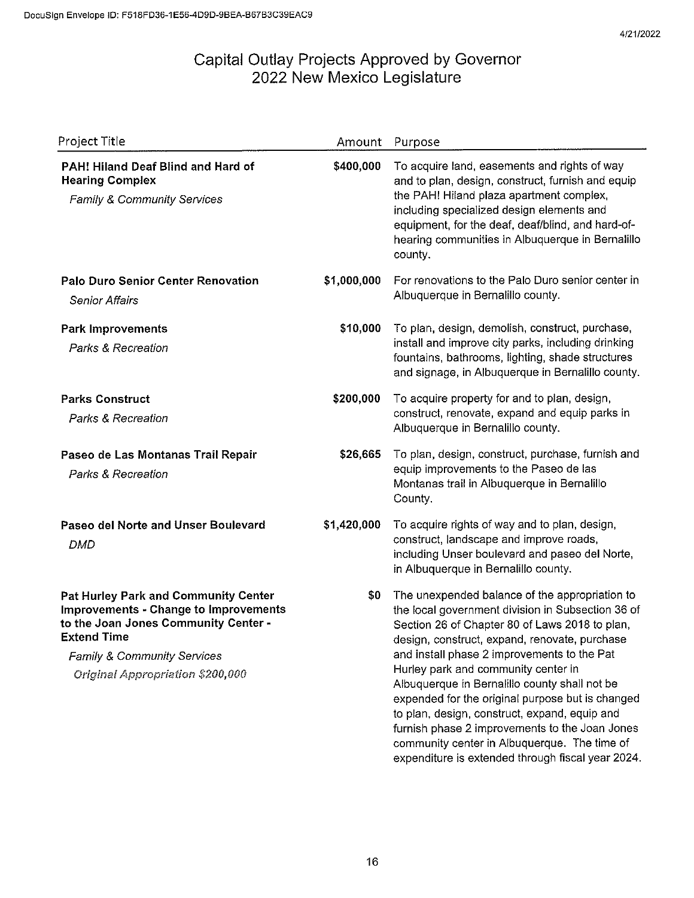| Project Title                                                                                                                                                                                                                    | Amount      | Purpose                                                                                                                                                                                                                                                                                                                                                                                                                                                                                                                                                                                                   |
|----------------------------------------------------------------------------------------------------------------------------------------------------------------------------------------------------------------------------------|-------------|-----------------------------------------------------------------------------------------------------------------------------------------------------------------------------------------------------------------------------------------------------------------------------------------------------------------------------------------------------------------------------------------------------------------------------------------------------------------------------------------------------------------------------------------------------------------------------------------------------------|
| PAH! Hiland Deaf Blind and Hard of<br><b>Hearing Complex</b><br>Family & Community Services                                                                                                                                      | \$400,000   | To acquire land, easements and rights of way<br>and to plan, design, construct, furnish and equip<br>the PAH! Hiland plaza apartment complex,<br>including specialized design elements and<br>equipment, for the deaf, deaf/blind, and hard-of-<br>hearing communities in Albuquerque in Bernalillo<br>county.                                                                                                                                                                                                                                                                                            |
| <b>Palo Duro Senior Center Renovation</b><br><b>Senior Affairs</b>                                                                                                                                                               | \$1,000,000 | For renovations to the Palo Duro senior center in<br>Albuquerque in Bernalillo county.                                                                                                                                                                                                                                                                                                                                                                                                                                                                                                                    |
| <b>Park Improvements</b><br>Parks & Recreation                                                                                                                                                                                   | \$10,000    | To plan, design, demolish, construct, purchase,<br>install and improve city parks, including drinking<br>fountains, bathrooms, lighting, shade structures<br>and signage, in Albuquerque in Bernalillo county.                                                                                                                                                                                                                                                                                                                                                                                            |
| <b>Parks Construct</b><br><b>Parks &amp; Recreation</b>                                                                                                                                                                          | \$200,000   | To acquire property for and to plan, design,<br>construct, renovate, expand and equip parks in<br>Albuquerque in Bernalillo county.                                                                                                                                                                                                                                                                                                                                                                                                                                                                       |
| Paseo de Las Montanas Trail Repair<br>Parks & Recreation                                                                                                                                                                         | \$26,665    | To plan, design, construct, purchase, furnish and<br>equip improvements to the Paseo de las<br>Montanas trail in Albuquerque in Bernalillo<br>County.                                                                                                                                                                                                                                                                                                                                                                                                                                                     |
| Paseo del Norte and Unser Boulevard<br><b>DMD</b>                                                                                                                                                                                | \$1,420,000 | To acquire rights of way and to plan, design,<br>construct, landscape and improve roads,<br>including Unser boulevard and paseo del Norte,<br>in Albuquerque in Bernalillo county.                                                                                                                                                                                                                                                                                                                                                                                                                        |
| Pat Hurley Park and Community Center<br><b>Improvements - Change to Improvements</b><br>to the Joan Jones Community Center -<br><b>Extend Time</b><br><b>Family &amp; Community Services</b><br>Original Appropriation \$200,000 | \$0         | The unexpended balance of the appropriation to<br>the local government division in Subsection 36 of<br>Section 26 of Chapter 80 of Laws 2018 to plan,<br>design, construct, expand, renovate, purchase<br>and install phase 2 improvements to the Pat<br>Hurley park and community center in<br>Albuquerque in Bernalillo county shall not be<br>expended for the original purpose but is changed<br>to plan, design, construct, expand, equip and<br>furnish phase 2 improvements to the Joan Jones<br>community center in Albuquerque. The time of<br>expenditure is extended through fiscal year 2024. |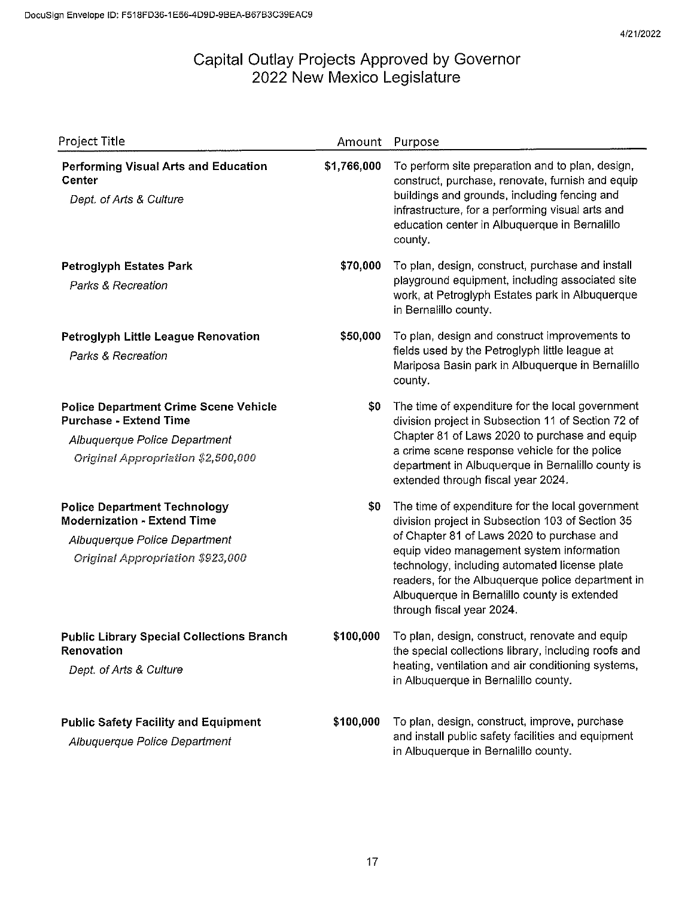| Project Title                                                                                                                                        | Amount      | Purpose                                                                                                                                                                                                                                                                                                                                                                            |
|------------------------------------------------------------------------------------------------------------------------------------------------------|-------------|------------------------------------------------------------------------------------------------------------------------------------------------------------------------------------------------------------------------------------------------------------------------------------------------------------------------------------------------------------------------------------|
| <b>Performing Visual Arts and Education</b><br>Center<br>Dept. of Arts & Culture                                                                     | \$1,766,000 | To perform site preparation and to plan, design,<br>construct, purchase, renovate, furnish and equip<br>buildings and grounds, including fencing and<br>infrastructure, for a performing visual arts and<br>education center in Albuquerque in Bernalillo<br>county.                                                                                                               |
| <b>Petroglyph Estates Park</b><br><b>Parks &amp; Recreation</b>                                                                                      | \$70,000    | To plan, design, construct, purchase and install<br>playground equipment, including associated site<br>work, at Petroglyph Estates park in Albuquerque<br>in Bernalillo county.                                                                                                                                                                                                    |
| Petroglyph Little League Renovation<br>Parks & Recreation                                                                                            | \$50,000    | To plan, design and construct improvements to<br>fields used by the Petroglyph little league at<br>Mariposa Basin park in Albuquerque in Bernalillo<br>county.                                                                                                                                                                                                                     |
| <b>Police Department Crime Scene Vehicle</b><br><b>Purchase - Extend Time</b><br>Albuquerque Police Department<br>Original Appropriation \$2,500,000 | \$0         | The time of expenditure for the local government<br>division project in Subsection 11 of Section 72 of<br>Chapter 81 of Laws 2020 to purchase and equip<br>a crime scene response vehicle for the police<br>department in Albuquerque in Bernalillo county is<br>extended through fiscal year 2024.                                                                                |
| <b>Police Department Technology</b><br><b>Modernization - Extend Time</b><br>Albuquerque Police Department<br>Original Appropriation \$923,000       | \$0         | The time of expenditure for the local government<br>division project in Subsection 103 of Section 35<br>of Chapter 81 of Laws 2020 to purchase and<br>equip video management system information<br>technology, including automated license plate<br>readers, for the Albuquerque police department in<br>Albuquerque in Bernalillo county is extended<br>through fiscal year 2024. |
| <b>Public Library Special Collections Branch</b><br>Renovation<br>Dept. of Arts & Culture                                                            | \$100,000   | To plan, design, construct, renovate and equip<br>the special collections library, including roofs and<br>heating, ventilation and air conditioning systems,<br>in Albuquerque in Bernalillo county.                                                                                                                                                                               |
| <b>Public Safety Facility and Equipment</b><br>Albuquerque Police Department                                                                         | \$100,000   | To plan, design, construct, improve, purchase<br>and install public safety facilities and equipment<br>in Albuquerque in Bernalillo county.                                                                                                                                                                                                                                        |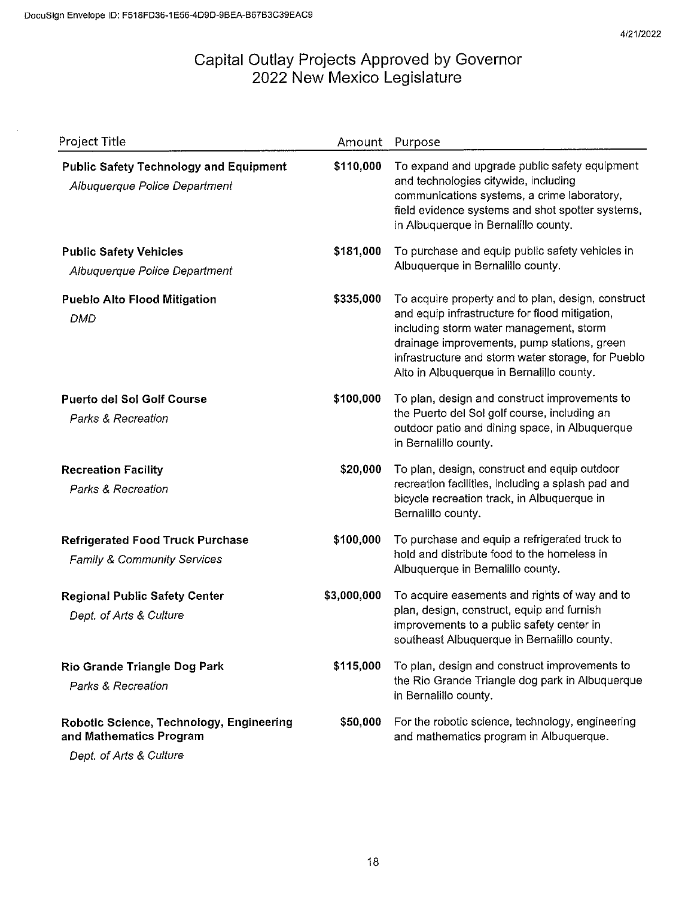| <b>Project Title</b>                                                                           | Amount      | Purpose                                                                                                                                                                                                                                                                                           |
|------------------------------------------------------------------------------------------------|-------------|---------------------------------------------------------------------------------------------------------------------------------------------------------------------------------------------------------------------------------------------------------------------------------------------------|
| <b>Public Safety Technology and Equipment</b><br>Albuquerque Police Department                 | \$110,000   | To expand and upgrade public safety equipment<br>and technologies citywide, including<br>communications systems, a crime laboratory,<br>field evidence systems and shot spotter systems,<br>in Albuquerque in Bernalillo county.                                                                  |
| <b>Public Safety Vehicles</b><br>Albuquerque Police Department                                 | \$181,000   | To purchase and equip public safety vehicles in<br>Albuquerque in Bernalillo county.                                                                                                                                                                                                              |
| <b>Pueblo Alto Flood Mitigation</b><br><b>DMD</b>                                              | \$335,000   | To acquire property and to plan, design, construct<br>and equip infrastructure for flood mitigation,<br>including storm water management, storm<br>drainage improvements, pump stations, green<br>infrastructure and storm water storage, for Pueblo<br>Alto in Albuquerque in Bernalillo county. |
| <b>Puerto del Sol Golf Course</b><br><b>Parks &amp; Recreation</b>                             | \$100,000   | To plan, design and construct improvements to<br>the Puerto del Sol golf course, including an<br>outdoor patio and dining space, in Albuquerque<br>in Bernalillo county.                                                                                                                          |
| <b>Recreation Facility</b><br>Parks & Recreation                                               | \$20,000    | To plan, design, construct and equip outdoor<br>recreation facilities, including a splash pad and<br>bicycle recreation track, in Albuquerque in<br>Bernalillo county.                                                                                                                            |
| <b>Refrigerated Food Truck Purchase</b><br>Family & Community Services                         | \$100,000   | To purchase and equip a refrigerated truck to<br>hold and distribute food to the homeless in<br>Albuquerque in Bernalillo county.                                                                                                                                                                 |
| <b>Regional Public Safety Center</b><br>Dept. of Arts & Culture                                | \$3,000,000 | To acquire easements and rights of way and to<br>plan, design, construct, equip and furnish<br>improvements to a public safety center in<br>southeast Albuquerque in Bernalillo county.                                                                                                           |
| Rio Grande Triangle Dog Park<br>Parks & Recreation                                             | \$115,000   | To plan, design and construct improvements to<br>the Rio Grande Triangle dog park in Albuquerque<br>in Bernalillo county.                                                                                                                                                                         |
| Robotic Science, Technology, Engineering<br>and Mathematics Program<br>Dept. of Arts & Culture | \$50,000    | For the robotic science, technology, engineering<br>and mathematics program in Albuquerque.                                                                                                                                                                                                       |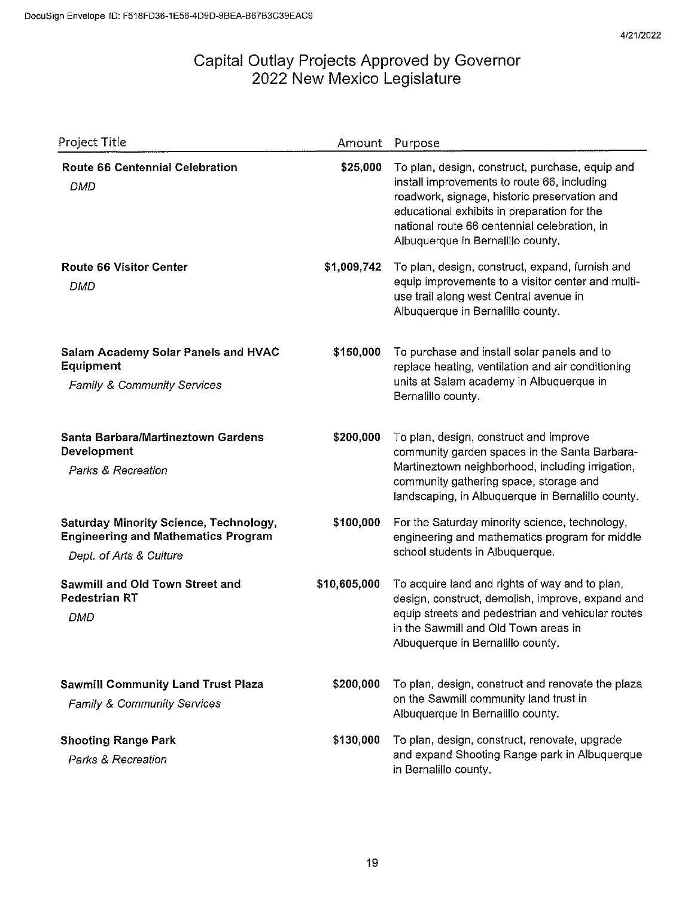| Project Title                                                                                                          | Amount       | Purpose                                                                                                                                                                                                                                                                            |
|------------------------------------------------------------------------------------------------------------------------|--------------|------------------------------------------------------------------------------------------------------------------------------------------------------------------------------------------------------------------------------------------------------------------------------------|
| <b>Route 66 Centennial Celebration</b><br><b>DMD</b>                                                                   | \$25,000     | To plan, design, construct, purchase, equip and<br>install improvements to route 66, including<br>roadwork, signage, historic preservation and<br>educational exhibits in preparation for the<br>national route 66 centennial celebration, in<br>Albuquerque in Bernalillo county. |
| <b>Route 66 Visitor Center</b><br><b>DMD</b>                                                                           | \$1,009,742  | To plan, design, construct, expand, furnish and<br>equip improvements to a visitor center and multi-<br>use trail along west Central avenue in<br>Albuquerque in Bernalillo county.                                                                                                |
| Salam Academy Solar Panels and HVAC<br>Equipment<br>Family & Community Services                                        | \$150,000    | To purchase and install solar panels and to<br>replace heating, ventilation and air conditioning<br>units at Salam academy in Albuquerque in<br>Bernalillo county.                                                                                                                 |
| Santa Barbara/Martineztown Gardens<br>Development<br><b>Parks &amp; Recreation</b>                                     | \$200,000    | To plan, design, construct and improve<br>community garden spaces in the Santa Barbara-<br>Martineztown neighborhood, including irrigation,<br>community gathering space, storage and<br>landscaping, in Albuquerque in Bernalillo county.                                         |
| <b>Saturday Minority Science, Technology,</b><br><b>Engineering and Mathematics Program</b><br>Dept. of Arts & Culture | \$100,000    | For the Saturday minority science, technology,<br>engineering and mathematics program for middle<br>school students in Albuquerque.                                                                                                                                                |
| Sawmill and Old Town Street and<br><b>Pedestrian RT</b><br><b>DMD</b>                                                  | \$10,605,000 | To acquire land and rights of way and to plan,<br>design, construct, demolish, improve, expand and<br>equip streets and pedestrian and vehicular routes<br>in the Sawmill and Old Town areas in<br>Albuquerque in Bernalillo county.                                               |
| <b>Sawmill Community Land Trust Plaza</b><br>Family & Community Services                                               | \$200,000    | To plan, design, construct and renovate the plaza<br>on the Sawmill community land trust in<br>Albuquerque in Bernalillo county.                                                                                                                                                   |
| <b>Shooting Range Park</b><br>Parks & Recreation                                                                       | \$130,000    | To plan, design, construct, renovate, upgrade<br>and expand Shooting Range park in Albuquerque<br>in Bernalillo county.                                                                                                                                                            |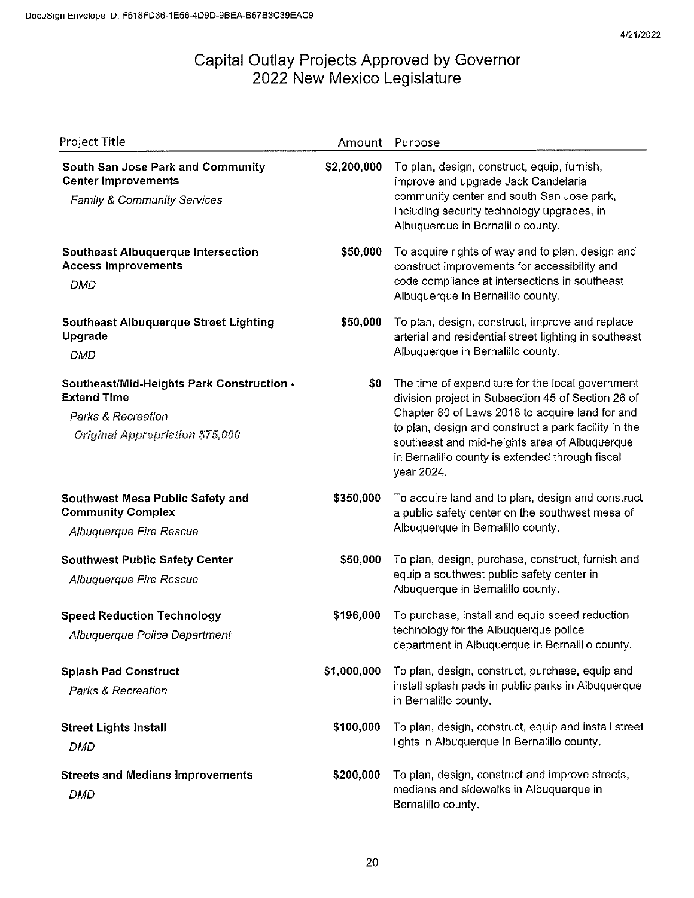| Project Title                                                                                                                       | Amount      | Purpose                                                                                                                                                                                                                                                                                                                             |
|-------------------------------------------------------------------------------------------------------------------------------------|-------------|-------------------------------------------------------------------------------------------------------------------------------------------------------------------------------------------------------------------------------------------------------------------------------------------------------------------------------------|
| South San Jose Park and Community<br><b>Center Improvements</b><br>Family & Community Services                                      | \$2,200,000 | To plan, design, construct, equip, furnish,<br>improve and upgrade Jack Candelaria<br>community center and south San Jose park,<br>including security technology upgrades, in<br>Albuquerque in Bernalillo county.                                                                                                                  |
| <b>Southeast Albuquerque Intersection</b><br><b>Access Improvements</b><br>DMD                                                      | \$50,000    | To acquire rights of way and to plan, design and<br>construct improvements for accessibility and<br>code compliance at intersections in southeast<br>Albuquerque in Bernalillo county.                                                                                                                                              |
| <b>Southeast Albuquerque Street Lighting</b><br>Upgrade<br><b>DMD</b>                                                               | \$50,000    | To plan, design, construct, improve and replace<br>arterial and residential street lighting in southeast<br>Albuquerque in Bernalillo county.                                                                                                                                                                                       |
| Southeast/Mid-Heights Park Construction -<br><b>Extend Time</b><br><b>Parks &amp; Recreation</b><br>Original Appropriation \$75,000 | \$0         | The time of expenditure for the local government<br>division project in Subsection 45 of Section 26 of<br>Chapter 80 of Laws 2018 to acquire land for and<br>to plan, design and construct a park facility in the<br>southeast and mid-heights area of Albuquerque<br>in Bernalillo county is extended through fiscal<br>year 2024. |
| Southwest Mesa Public Safety and<br><b>Community Complex</b><br>Albuquerque Fire Rescue                                             | \$350,000   | To acquire land and to plan, design and construct<br>a public safety center on the southwest mesa of<br>Albuquerque in Bernalillo county.                                                                                                                                                                                           |
| <b>Southwest Public Safety Center</b><br>Albuquerque Fire Rescue                                                                    | \$50,000    | To plan, design, purchase, construct, furnish and<br>equip a southwest public safety center in<br>Albuquerque in Bernalillo county.                                                                                                                                                                                                 |
| <b>Speed Reduction Technology</b><br>Albuquerque Police Department                                                                  | \$196,000   | To purchase, install and equip speed reduction<br>technology for the Albuquerque police<br>department in Albuquerque in Bernalillo county.                                                                                                                                                                                          |
| <b>Splash Pad Construct</b><br>Parks & Recreation                                                                                   | \$1,000,000 | To plan, design, construct, purchase, equip and<br>install splash pads in public parks in Albuquerque<br>in Bernalillo county.                                                                                                                                                                                                      |
| <b>Street Lights Install</b><br><b>DMD</b>                                                                                          | \$100,000   | To plan, design, construct, equip and install street<br>lights in Albuquerque in Bernalillo county.                                                                                                                                                                                                                                 |
| <b>Streets and Medians Improvements</b><br><b>DMD</b>                                                                               | \$200,000   | To plan, design, construct and improve streets,<br>medians and sidewalks in Albuquerque in<br>Bernalillo county.                                                                                                                                                                                                                    |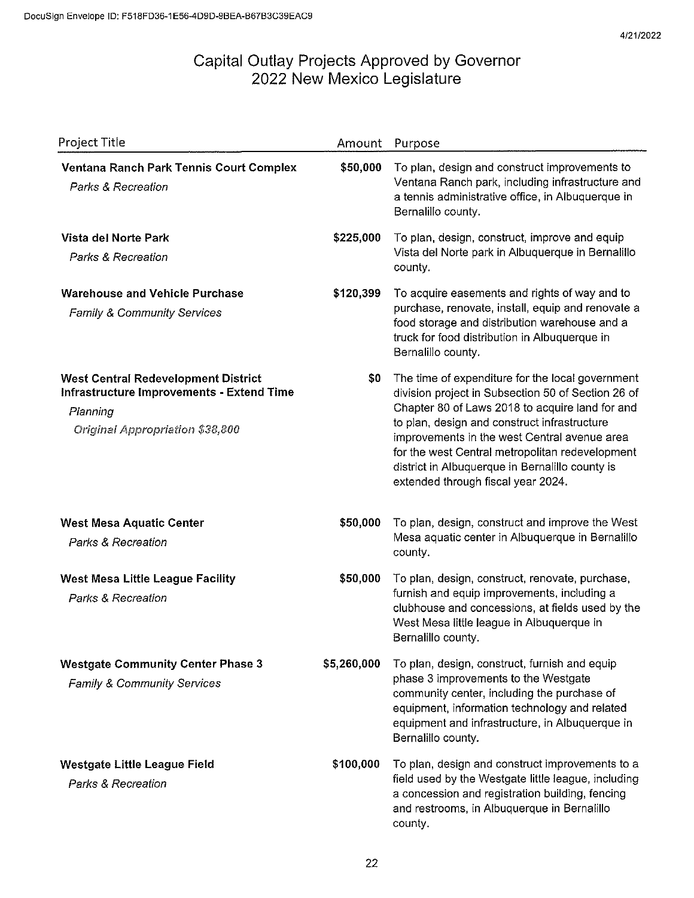| Project Title                                                                                                                                        | Amount      | Purpose                                                                                                                                                                                                                                                                                                                                                                                               |
|------------------------------------------------------------------------------------------------------------------------------------------------------|-------------|-------------------------------------------------------------------------------------------------------------------------------------------------------------------------------------------------------------------------------------------------------------------------------------------------------------------------------------------------------------------------------------------------------|
| Ventana Ranch Park Tennis Court Complex<br>Parks & Recreation                                                                                        | \$50,000    | To plan, design and construct improvements to<br>Ventana Ranch park, including infrastructure and<br>a tennis administrative office, in Albuquerque in<br>Bernalillo county.                                                                                                                                                                                                                          |
| Vista del Norte Park<br>Parks & Recreation                                                                                                           | \$225,000   | To plan, design, construct, improve and equip<br>Vista del Norte park in Albuquerque in Bernalillo<br>county.                                                                                                                                                                                                                                                                                         |
| <b>Warehouse and Vehicle Purchase</b><br><b>Family &amp; Community Services</b>                                                                      | \$120,399   | To acquire easements and rights of way and to<br>purchase, renovate, install, equip and renovate a<br>food storage and distribution warehouse and a<br>truck for food distribution in Albuquerque in<br>Bernalillo county.                                                                                                                                                                            |
| <b>West Central Redevelopment District</b><br><b>Infrastructure Improvements - Extend Time</b><br>Planning<br><b>Original Appropriation \$38,800</b> | \$0         | The time of expenditure for the local government<br>division project in Subsection 50 of Section 26 of<br>Chapter 80 of Laws 2018 to acquire land for and<br>to plan, design and construct infrastructure<br>improvements in the west Central avenue area<br>for the west Central metropolitan redevelopment<br>district in Albuquerque in Bernalillo county is<br>extended through fiscal year 2024. |
| <b>West Mesa Aquatic Center</b><br><b>Parks &amp; Recreation</b>                                                                                     | \$50,000    | To plan, design, construct and improve the West<br>Mesa aquatic center in Albuquerque in Bernalillo<br>county.                                                                                                                                                                                                                                                                                        |
| West Mesa Little League Facility<br>Parks & Recreation                                                                                               | \$50,000    | To plan, design, construct, renovate, purchase,<br>furnish and equip improvements, including a<br>clubhouse and concessions, at fields used by the<br>West Mesa little league in Albuquerque in<br>Bernalillo county.                                                                                                                                                                                 |
| <b>Westgate Community Center Phase 3</b><br><b>Family &amp; Community Services</b>                                                                   | \$5,260,000 | To plan, design, construct, furnish and equip<br>phase 3 improvements to the Westgate<br>community center, including the purchase of<br>equipment, information technology and related<br>equipment and infrastructure, in Albuquerque in<br>Bernalillo county.                                                                                                                                        |
| Westgate Little League Field<br>Parks & Recreation                                                                                                   | \$100,000   | To plan, design and construct improvements to a<br>field used by the Westgate little league, including<br>a concession and registration building, fencing<br>and restrooms, in Albuquerque in Bernalillo<br>county.                                                                                                                                                                                   |